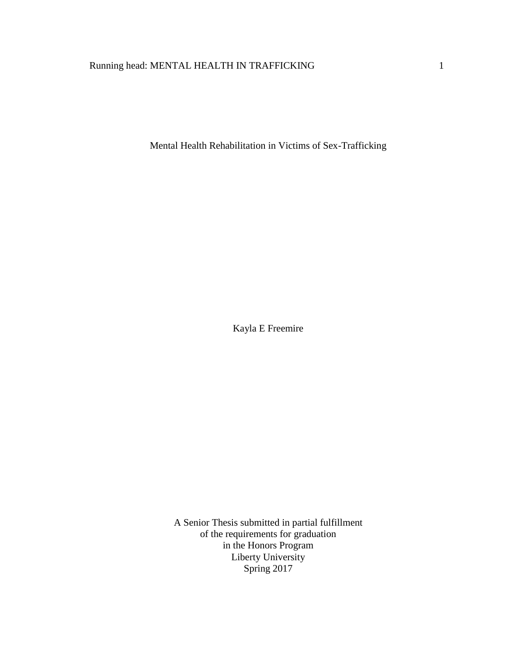# Running head: MENTAL HEALTH IN TRAFFICKING 1

Mental Health Rehabilitation in Victims of Sex-Trafficking

Kayla E Freemire

A Senior Thesis submitted in partial fulfillment of the requirements for graduation in the Honors Program Liberty University Spring 2017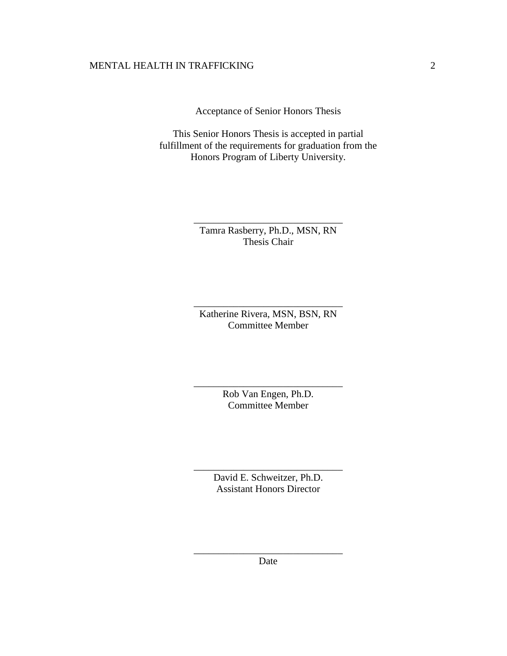Acceptance of Senior Honors Thesis

This Senior Honors Thesis is accepted in partial fulfillment of the requirements for graduation from the Honors Program of Liberty University.

> Tamra Rasberry, Ph.D., MSN, RN Thesis Chair

\_\_\_\_\_\_\_\_\_\_\_\_\_\_\_\_\_\_\_\_\_\_\_\_\_\_\_\_\_\_

Katherine Rivera, MSN, BSN, RN Committee Member

\_\_\_\_\_\_\_\_\_\_\_\_\_\_\_\_\_\_\_\_\_\_\_\_\_\_\_\_\_\_

Rob Van Engen, Ph.D. Committee Member

\_\_\_\_\_\_\_\_\_\_\_\_\_\_\_\_\_\_\_\_\_\_\_\_\_\_\_\_\_\_

David E. Schweitzer, Ph.D. Assistant Honors Director

\_\_\_\_\_\_\_\_\_\_\_\_\_\_\_\_\_\_\_\_\_\_\_\_\_\_\_\_\_\_

\_\_\_\_\_\_\_\_\_\_\_\_\_\_\_\_\_\_\_\_\_\_\_\_\_\_\_\_\_\_ Date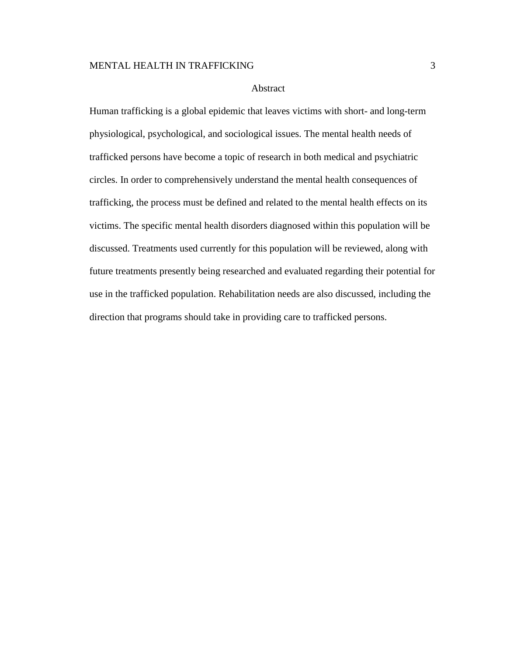# Abstract

Human trafficking is a global epidemic that leaves victims with short- and long-term physiological, psychological, and sociological issues. The mental health needs of trafficked persons have become a topic of research in both medical and psychiatric circles. In order to comprehensively understand the mental health consequences of trafficking, the process must be defined and related to the mental health effects on its victims. The specific mental health disorders diagnosed within this population will be discussed. Treatments used currently for this population will be reviewed, along with future treatments presently being researched and evaluated regarding their potential for use in the trafficked population. Rehabilitation needs are also discussed, including the direction that programs should take in providing care to trafficked persons.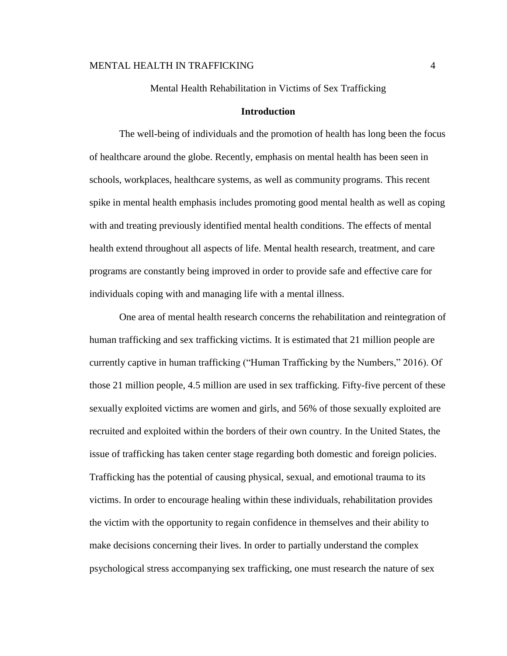Mental Health Rehabilitation in Victims of Sex Trafficking

#### **Introduction**

The well-being of individuals and the promotion of health has long been the focus of healthcare around the globe. Recently, emphasis on mental health has been seen in schools, workplaces, healthcare systems, as well as community programs. This recent spike in mental health emphasis includes promoting good mental health as well as coping with and treating previously identified mental health conditions. The effects of mental health extend throughout all aspects of life. Mental health research, treatment, and care programs are constantly being improved in order to provide safe and effective care for individuals coping with and managing life with a mental illness.

One area of mental health research concerns the rehabilitation and reintegration of human trafficking and sex trafficking victims. It is estimated that 21 million people are currently captive in human trafficking ("Human Trafficking by the Numbers," 2016). Of those 21 million people, 4.5 million are used in sex trafficking. Fifty-five percent of these sexually exploited victims are women and girls, and 56% of those sexually exploited are recruited and exploited within the borders of their own country. In the United States, the issue of trafficking has taken center stage regarding both domestic and foreign policies. Trafficking has the potential of causing physical, sexual, and emotional trauma to its victims. In order to encourage healing within these individuals, rehabilitation provides the victim with the opportunity to regain confidence in themselves and their ability to make decisions concerning their lives. In order to partially understand the complex psychological stress accompanying sex trafficking, one must research the nature of sex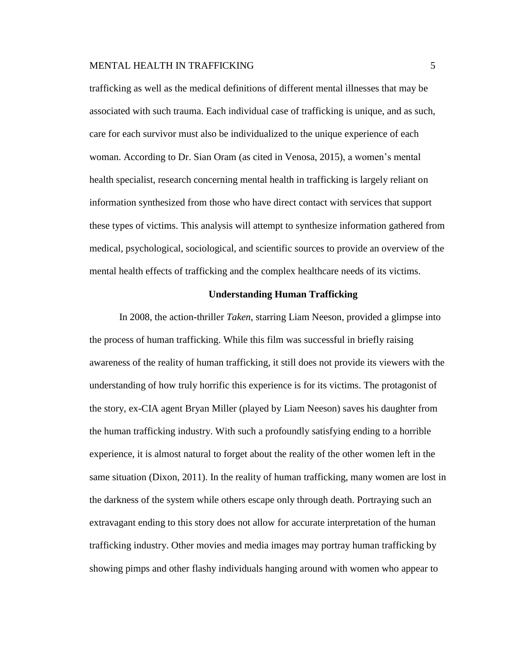# MENTAL HEALTH IN TRAFFICKING **FOLLOWING** 5

trafficking as well as the medical definitions of different mental illnesses that may be associated with such trauma. Each individual case of trafficking is unique, and as such, care for each survivor must also be individualized to the unique experience of each woman. According to Dr. Sian Oram (as cited in Venosa, 2015), a women's mental health specialist, research concerning mental health in trafficking is largely reliant on information synthesized from those who have direct contact with services that support these types of victims. This analysis will attempt to synthesize information gathered from medical, psychological, sociological, and scientific sources to provide an overview of the mental health effects of trafficking and the complex healthcare needs of its victims.

# **Understanding Human Trafficking**

In 2008, the action-thriller *Taken*, starring Liam Neeson, provided a glimpse into the process of human trafficking. While this film was successful in briefly raising awareness of the reality of human trafficking, it still does not provide its viewers with the understanding of how truly horrific this experience is for its victims. The protagonist of the story, ex-CIA agent Bryan Miller (played by Liam Neeson) saves his daughter from the human trafficking industry. With such a profoundly satisfying ending to a horrible experience, it is almost natural to forget about the reality of the other women left in the same situation (Dixon, 2011). In the reality of human trafficking, many women are lost in the darkness of the system while others escape only through death. Portraying such an extravagant ending to this story does not allow for accurate interpretation of the human trafficking industry. Other movies and media images may portray human trafficking by showing pimps and other flashy individuals hanging around with women who appear to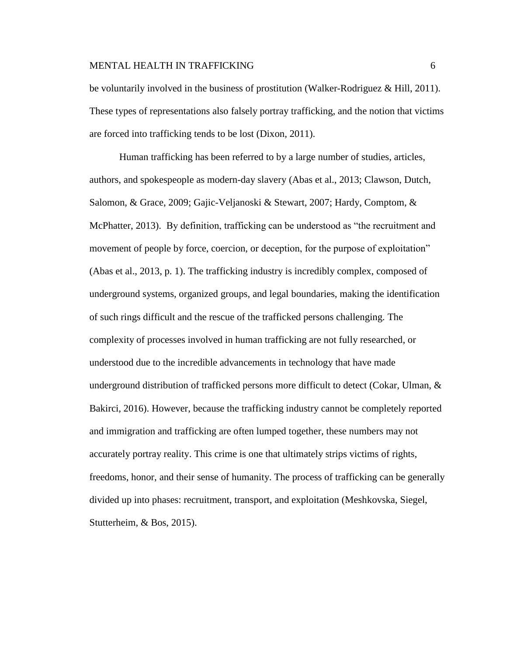be voluntarily involved in the business of prostitution (Walker-Rodriguez & Hill, 2011). These types of representations also falsely portray trafficking, and the notion that victims are forced into trafficking tends to be lost (Dixon, 2011).

Human trafficking has been referred to by a large number of studies, articles, authors, and spokespeople as modern-day slavery (Abas et al., 2013; Clawson, Dutch, Salomon, & Grace, 2009; Gajic-Veljanoski & Stewart, 2007; Hardy, Comptom, & McPhatter, 2013). By definition, trafficking can be understood as "the recruitment and movement of people by force, coercion, or deception, for the purpose of exploitation" (Abas et al., 2013, p. 1). The trafficking industry is incredibly complex, composed of underground systems, organized groups, and legal boundaries, making the identification of such rings difficult and the rescue of the trafficked persons challenging. The complexity of processes involved in human trafficking are not fully researched, or understood due to the incredible advancements in technology that have made underground distribution of trafficked persons more difficult to detect (Cokar, Ulman,  $\&$ Bakirci, 2016). However, because the trafficking industry cannot be completely reported and immigration and trafficking are often lumped together, these numbers may not accurately portray reality. This crime is one that ultimately strips victims of rights, freedoms, honor, and their sense of humanity. The process of trafficking can be generally divided up into phases: recruitment, transport, and exploitation (Meshkovska, Siegel, Stutterheim, & Bos, 2015).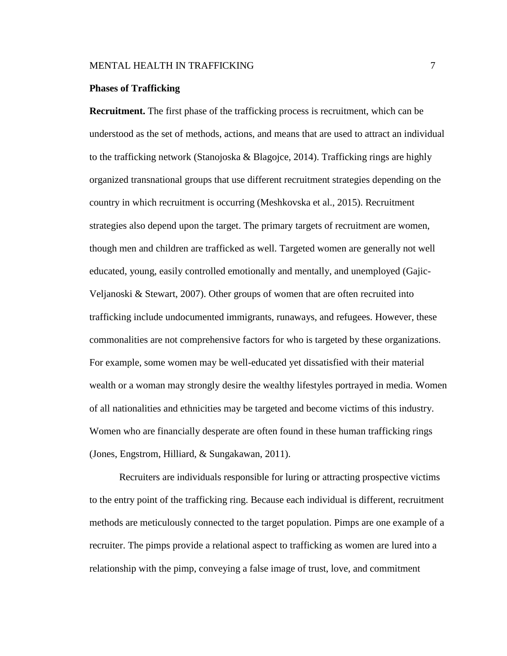# MENTAL HEALTH IN TRAFFICKING  $\qquad \qquad \qquad 7$

## **Phases of Trafficking**

**Recruitment.** The first phase of the trafficking process is recruitment, which can be understood as the set of methods, actions, and means that are used to attract an individual to the trafficking network (Stanojoska & Blagojce, 2014). Trafficking rings are highly organized transnational groups that use different recruitment strategies depending on the country in which recruitment is occurring (Meshkovska et al., 2015). Recruitment strategies also depend upon the target. The primary targets of recruitment are women, though men and children are trafficked as well. Targeted women are generally not well educated, young, easily controlled emotionally and mentally, and unemployed (Gajic-Veljanoski  $\&$  Stewart, 2007). Other groups of women that are often recruited into trafficking include undocumented immigrants, runaways, and refugees. However, these commonalities are not comprehensive factors for who is targeted by these organizations. For example, some women may be well-educated yet dissatisfied with their material wealth or a woman may strongly desire the wealthy lifestyles portrayed in media. Women of all nationalities and ethnicities may be targeted and become victims of this industry. Women who are financially desperate are often found in these human trafficking rings (Jones, Engstrom, Hilliard, & Sungakawan, 2011).

Recruiters are individuals responsible for luring or attracting prospective victims to the entry point of the trafficking ring. Because each individual is different, recruitment methods are meticulously connected to the target population. Pimps are one example of a recruiter. The pimps provide a relational aspect to trafficking as women are lured into a relationship with the pimp, conveying a false image of trust, love, and commitment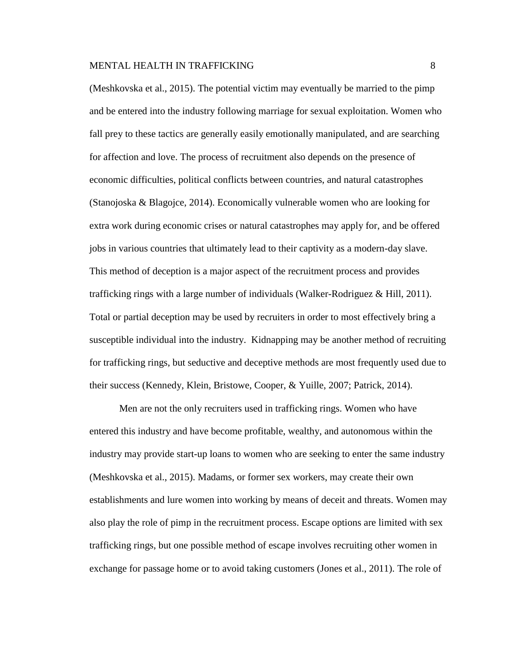# MENTAL HEALTH IN TRAFFICKING FOR THE SERVICE SERVICE SERVICE SERVICE SERVICE SERVICE SERVICE SERVICE SERVICE S

(Meshkovska et al., 2015). The potential victim may eventually be married to the pimp and be entered into the industry following marriage for sexual exploitation. Women who fall prey to these tactics are generally easily emotionally manipulated, and are searching for affection and love. The process of recruitment also depends on the presence of economic difficulties, political conflicts between countries, and natural catastrophes (Stanojoska & Blagojce, 2014). Economically vulnerable women who are looking for extra work during economic crises or natural catastrophes may apply for, and be offered jobs in various countries that ultimately lead to their captivity as a modern-day slave. This method of deception is a major aspect of the recruitment process and provides trafficking rings with a large number of individuals (Walker-Rodriguez & Hill, 2011). Total or partial deception may be used by recruiters in order to most effectively bring a susceptible individual into the industry. Kidnapping may be another method of recruiting for trafficking rings, but seductive and deceptive methods are most frequently used due to their success (Kennedy, Klein, Bristowe, Cooper, & Yuille, 2007; Patrick, 2014).

Men are not the only recruiters used in trafficking rings. Women who have entered this industry and have become profitable, wealthy, and autonomous within the industry may provide start-up loans to women who are seeking to enter the same industry (Meshkovska et al., 2015). Madams, or former sex workers, may create their own establishments and lure women into working by means of deceit and threats. Women may also play the role of pimp in the recruitment process. Escape options are limited with sex trafficking rings, but one possible method of escape involves recruiting other women in exchange for passage home or to avoid taking customers (Jones et al., 2011). The role of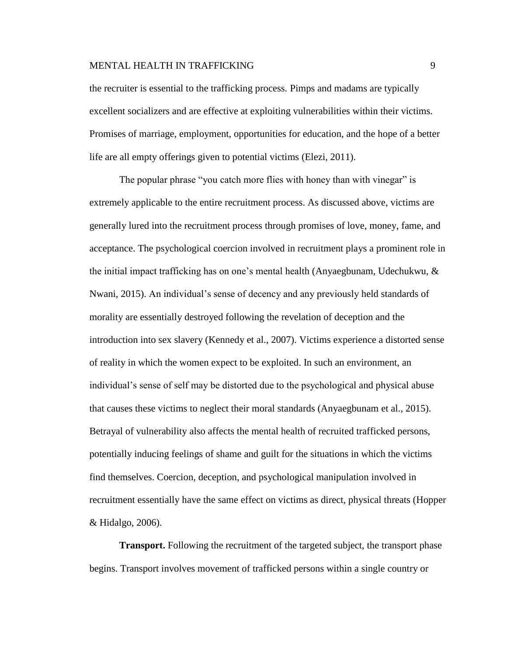the recruiter is essential to the trafficking process. Pimps and madams are typically excellent socializers and are effective at exploiting vulnerabilities within their victims. Promises of marriage, employment, opportunities for education, and the hope of a better life are all empty offerings given to potential victims (Elezi, 2011).

The popular phrase "you catch more flies with honey than with vinegar" is extremely applicable to the entire recruitment process. As discussed above, victims are generally lured into the recruitment process through promises of love, money, fame, and acceptance. The psychological coercion involved in recruitment plays a prominent role in the initial impact trafficking has on one's mental health (Anyaegbunam, Udechukwu, & Nwani, 2015). An individual's sense of decency and any previously held standards of morality are essentially destroyed following the revelation of deception and the introduction into sex slavery (Kennedy et al., 2007). Victims experience a distorted sense of reality in which the women expect to be exploited. In such an environment, an individual's sense of self may be distorted due to the psychological and physical abuse that causes these victims to neglect their moral standards (Anyaegbunam et al., 2015). Betrayal of vulnerability also affects the mental health of recruited trafficked persons, potentially inducing feelings of shame and guilt for the situations in which the victims find themselves. Coercion, deception, and psychological manipulation involved in recruitment essentially have the same effect on victims as direct, physical threats (Hopper & Hidalgo, 2006).

**Transport.** Following the recruitment of the targeted subject, the transport phase begins. Transport involves movement of trafficked persons within a single country or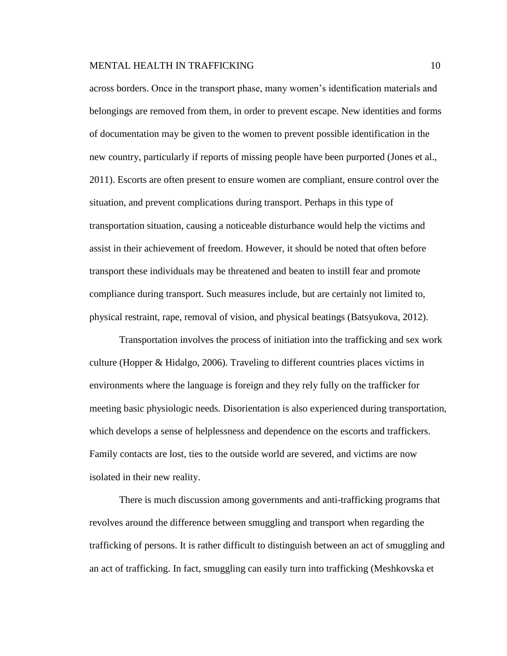across borders. Once in the transport phase, many women's identification materials and belongings are removed from them, in order to prevent escape. New identities and forms of documentation may be given to the women to prevent possible identification in the new country, particularly if reports of missing people have been purported (Jones et al., 2011). Escorts are often present to ensure women are compliant, ensure control over the situation, and prevent complications during transport. Perhaps in this type of transportation situation, causing a noticeable disturbance would help the victims and assist in their achievement of freedom. However, it should be noted that often before transport these individuals may be threatened and beaten to instill fear and promote compliance during transport. Such measures include, but are certainly not limited to, physical restraint, rape, removal of vision, and physical beatings (Batsyukova, 2012).

Transportation involves the process of initiation into the trafficking and sex work culture (Hopper & Hidalgo, 2006). Traveling to different countries places victims in environments where the language is foreign and they rely fully on the trafficker for meeting basic physiologic needs. Disorientation is also experienced during transportation, which develops a sense of helplessness and dependence on the escorts and traffickers. Family contacts are lost, ties to the outside world are severed, and victims are now isolated in their new reality.

There is much discussion among governments and anti-trafficking programs that revolves around the difference between smuggling and transport when regarding the trafficking of persons. It is rather difficult to distinguish between an act of smuggling and an act of trafficking. In fact, smuggling can easily turn into trafficking (Meshkovska et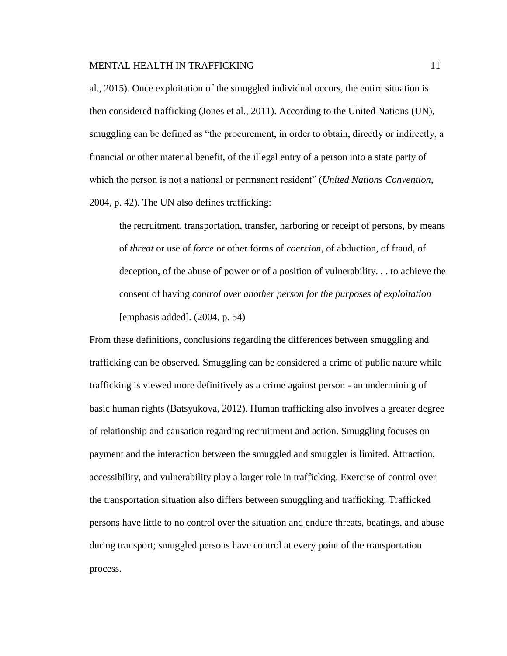al., 2015). Once exploitation of the smuggled individual occurs, the entire situation is then considered trafficking (Jones et al., 2011). According to the United Nations (UN), smuggling can be defined as "the procurement, in order to obtain, directly or indirectly, a financial or other material benefit, of the illegal entry of a person into a state party of which the person is not a national or permanent resident" (*United Nations Convention*, 2004, p. 42). The UN also defines trafficking:

the recruitment, transportation, transfer, harboring or receipt of persons, by means of *threat* or use of *force* or other forms of *coercion*, of abduction, of fraud, of deception, of the abuse of power or of a position of vulnerability. . . to achieve the consent of having *control over another person for the purposes of exploitation* [emphasis added]*.* (2004, p. 54)

From these definitions, conclusions regarding the differences between smuggling and trafficking can be observed. Smuggling can be considered a crime of public nature while trafficking is viewed more definitively as a crime against person - an undermining of basic human rights (Batsyukova, 2012). Human trafficking also involves a greater degree of relationship and causation regarding recruitment and action. Smuggling focuses on payment and the interaction between the smuggled and smuggler is limited. Attraction, accessibility, and vulnerability play a larger role in trafficking. Exercise of control over the transportation situation also differs between smuggling and trafficking. Trafficked persons have little to no control over the situation and endure threats, beatings, and abuse during transport; smuggled persons have control at every point of the transportation process.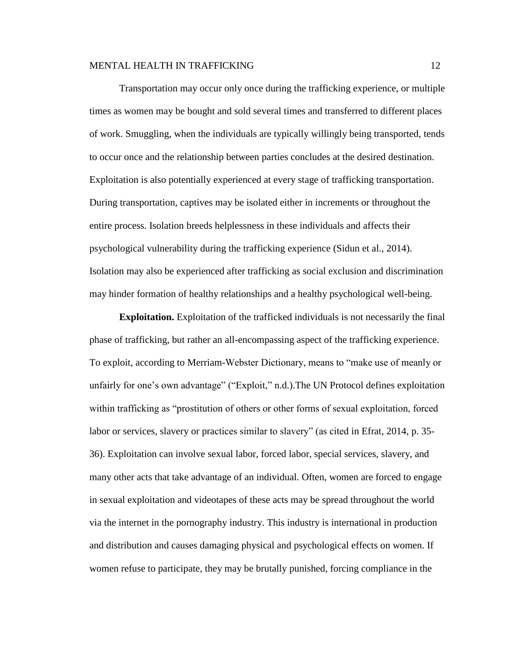Transportation may occur only once during the trafficking experience, or multiple times as women may be bought and sold several times and transferred to different places of work. Smuggling, when the individuals are typically willingly being transported, tends to occur once and the relationship between parties concludes at the desired destination. Exploitation is also potentially experienced at every stage of trafficking transportation. During transportation, captives may be isolated either in increments or throughout the entire process. Isolation breeds helplessness in these individuals and affects their psychological vulnerability during the trafficking experience (Sidun et al., 2014). Isolation may also be experienced after trafficking as social exclusion and discrimination may hinder formation of healthy relationships and a healthy psychological well-being.

**Exploitation.** Exploitation of the trafficked individuals is not necessarily the final phase of trafficking, but rather an all-encompassing aspect of the trafficking experience. To exploit, according to Merriam-Webster Dictionary, means to "make use of meanly or unfairly for one's own advantage" ("Exploit," n.d.).The UN Protocol defines exploitation within trafficking as "prostitution of others or other forms of sexual exploitation, forced labor or services, slavery or practices similar to slavery" (as cited in Efrat, 2014, p. 35- 36). Exploitation can involve sexual labor, forced labor, special services, slavery, and many other acts that take advantage of an individual. Often, women are forced to engage in sexual exploitation and videotapes of these acts may be spread throughout the world via the internet in the pornography industry. This industry is international in production and distribution and causes damaging physical and psychological effects on women. If women refuse to participate, they may be brutally punished, forcing compliance in the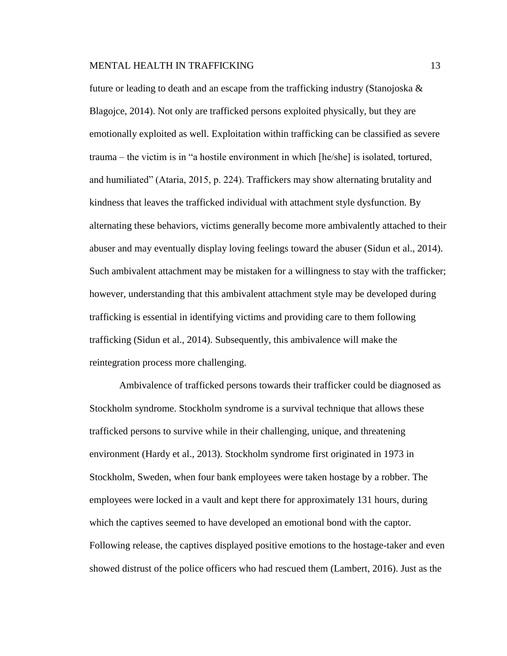future or leading to death and an escape from the trafficking industry (Stanojoska  $\&$ Blagojce, 2014). Not only are trafficked persons exploited physically, but they are emotionally exploited as well. Exploitation within trafficking can be classified as severe trauma – the victim is in "a hostile environment in which [he/she] is isolated, tortured, and humiliated" (Ataria, 2015, p. 224). Traffickers may show alternating brutality and kindness that leaves the trafficked individual with attachment style dysfunction. By alternating these behaviors, victims generally become more ambivalently attached to their abuser and may eventually display loving feelings toward the abuser (Sidun et al., 2014). Such ambivalent attachment may be mistaken for a willingness to stay with the trafficker; however, understanding that this ambivalent attachment style may be developed during trafficking is essential in identifying victims and providing care to them following trafficking (Sidun et al., 2014). Subsequently, this ambivalence will make the reintegration process more challenging.

Ambivalence of trafficked persons towards their trafficker could be diagnosed as Stockholm syndrome. Stockholm syndrome is a survival technique that allows these trafficked persons to survive while in their challenging, unique, and threatening environment (Hardy et al., 2013). Stockholm syndrome first originated in 1973 in Stockholm, Sweden, when four bank employees were taken hostage by a robber. The employees were locked in a vault and kept there for approximately 131 hours, during which the captives seemed to have developed an emotional bond with the captor. Following release, the captives displayed positive emotions to the hostage-taker and even showed distrust of the police officers who had rescued them (Lambert, 2016). Just as the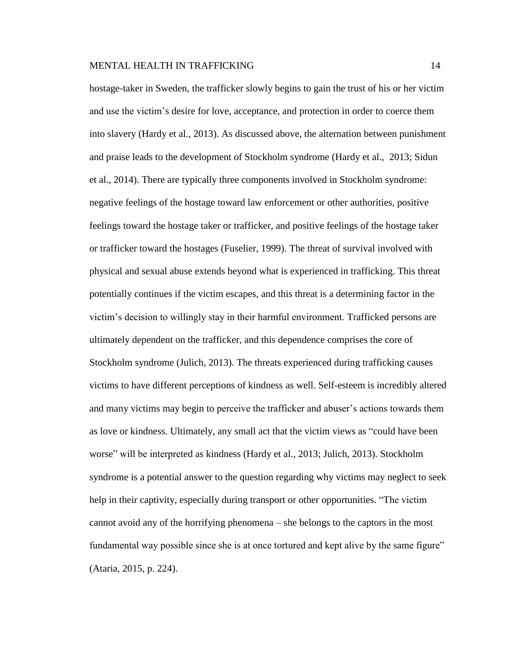hostage-taker in Sweden, the trafficker slowly begins to gain the trust of his or her victim and use the victim's desire for love, acceptance, and protection in order to coerce them into slavery (Hardy et al., 2013). As discussed above, the alternation between punishment and praise leads to the development of Stockholm syndrome (Hardy et al., 2013; Sidun et al., 2014). There are typically three components involved in Stockholm syndrome: negative feelings of the hostage toward law enforcement or other authorities, positive feelings toward the hostage taker or trafficker, and positive feelings of the hostage taker or trafficker toward the hostages (Fuselier, 1999). The threat of survival involved with physical and sexual abuse extends beyond what is experienced in trafficking. This threat potentially continues if the victim escapes, and this threat is a determining factor in the victim's decision to willingly stay in their harmful environment. Trafficked persons are ultimately dependent on the trafficker, and this dependence comprises the core of Stockholm syndrome (Julich, 2013). The threats experienced during trafficking causes victims to have different perceptions of kindness as well. Self-esteem is incredibly altered and many victims may begin to perceive the trafficker and abuser's actions towards them as love or kindness. Ultimately, any small act that the victim views as "could have been worse" will be interpreted as kindness (Hardy et al., 2013; Julich, 2013). Stockholm syndrome is a potential answer to the question regarding why victims may neglect to seek help in their captivity, especially during transport or other opportunities. "The victim cannot avoid any of the horrifying phenomena – she belongs to the captors in the most fundamental way possible since she is at once tortured and kept alive by the same figure" (Ataria, 2015, p. 224).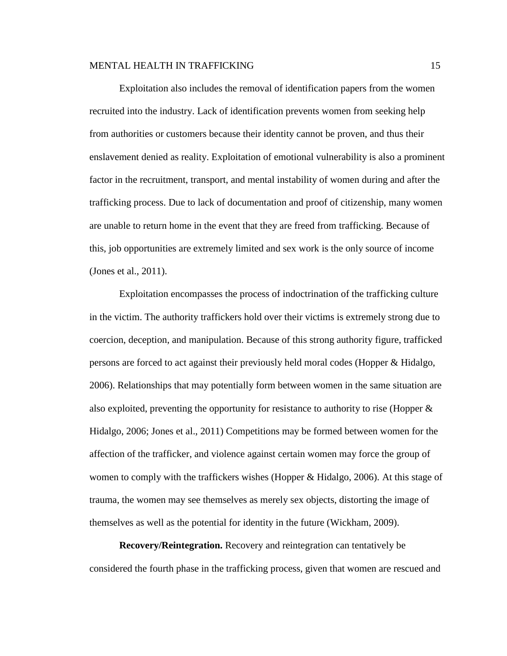Exploitation also includes the removal of identification papers from the women recruited into the industry. Lack of identification prevents women from seeking help from authorities or customers because their identity cannot be proven, and thus their enslavement denied as reality. Exploitation of emotional vulnerability is also a prominent factor in the recruitment, transport, and mental instability of women during and after the trafficking process. Due to lack of documentation and proof of citizenship, many women are unable to return home in the event that they are freed from trafficking. Because of this, job opportunities are extremely limited and sex work is the only source of income (Jones et al., 2011).

Exploitation encompasses the process of indoctrination of the trafficking culture in the victim. The authority traffickers hold over their victims is extremely strong due to coercion, deception, and manipulation. Because of this strong authority figure, trafficked persons are forced to act against their previously held moral codes (Hopper & Hidalgo, 2006). Relationships that may potentially form between women in the same situation are also exploited, preventing the opportunity for resistance to authority to rise (Hopper  $\&$ Hidalgo, 2006; Jones et al., 2011) Competitions may be formed between women for the affection of the trafficker, and violence against certain women may force the group of women to comply with the traffickers wishes (Hopper & Hidalgo, 2006). At this stage of trauma, the women may see themselves as merely sex objects, distorting the image of themselves as well as the potential for identity in the future (Wickham, 2009).

**Recovery/Reintegration.** Recovery and reintegration can tentatively be considered the fourth phase in the trafficking process, given that women are rescued and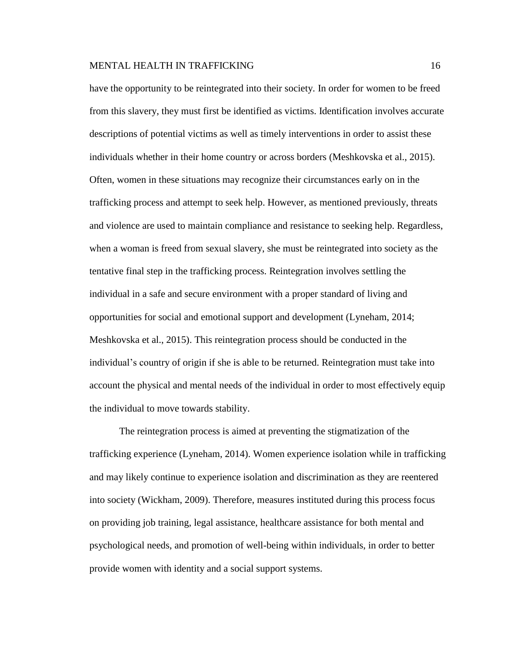have the opportunity to be reintegrated into their society. In order for women to be freed from this slavery, they must first be identified as victims. Identification involves accurate descriptions of potential victims as well as timely interventions in order to assist these individuals whether in their home country or across borders (Meshkovska et al., 2015). Often, women in these situations may recognize their circumstances early on in the trafficking process and attempt to seek help. However, as mentioned previously, threats and violence are used to maintain compliance and resistance to seeking help. Regardless, when a woman is freed from sexual slavery, she must be reintegrated into society as the tentative final step in the trafficking process. Reintegration involves settling the individual in a safe and secure environment with a proper standard of living and opportunities for social and emotional support and development (Lyneham, 2014; Meshkovska et al., 2015). This reintegration process should be conducted in the individual's country of origin if she is able to be returned. Reintegration must take into account the physical and mental needs of the individual in order to most effectively equip the individual to move towards stability.

The reintegration process is aimed at preventing the stigmatization of the trafficking experience (Lyneham, 2014). Women experience isolation while in trafficking and may likely continue to experience isolation and discrimination as they are reentered into society (Wickham, 2009). Therefore, measures instituted during this process focus on providing job training, legal assistance, healthcare assistance for both mental and psychological needs, and promotion of well-being within individuals, in order to better provide women with identity and a social support systems.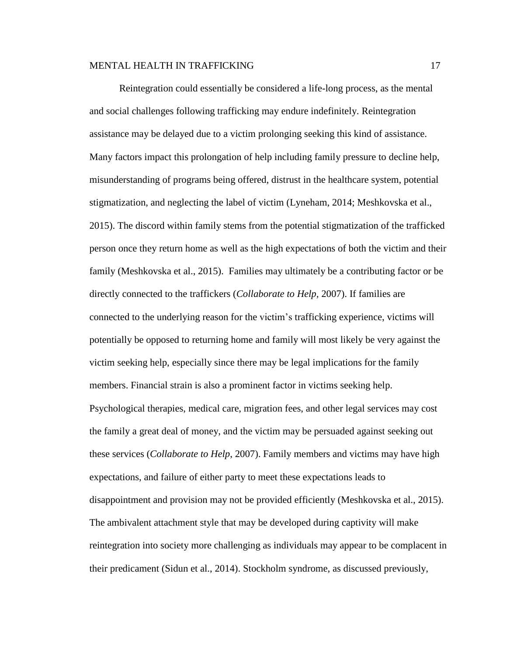Reintegration could essentially be considered a life-long process, as the mental and social challenges following trafficking may endure indefinitely. Reintegration assistance may be delayed due to a victim prolonging seeking this kind of assistance. Many factors impact this prolongation of help including family pressure to decline help, misunderstanding of programs being offered, distrust in the healthcare system, potential stigmatization, and neglecting the label of victim (Lyneham, 2014; Meshkovska et al., 2015). The discord within family stems from the potential stigmatization of the trafficked person once they return home as well as the high expectations of both the victim and their family (Meshkovska et al., 2015). Families may ultimately be a contributing factor or be directly connected to the traffickers (*Collaborate to Help,* 2007). If families are connected to the underlying reason for the victim's trafficking experience, victims will potentially be opposed to returning home and family will most likely be very against the victim seeking help, especially since there may be legal implications for the family members. Financial strain is also a prominent factor in victims seeking help. Psychological therapies, medical care, migration fees, and other legal services may cost the family a great deal of money, and the victim may be persuaded against seeking out these services (*Collaborate to Help*, 2007). Family members and victims may have high expectations, and failure of either party to meet these expectations leads to disappointment and provision may not be provided efficiently (Meshkovska et al., 2015). The ambivalent attachment style that may be developed during captivity will make reintegration into society more challenging as individuals may appear to be complacent in their predicament (Sidun et al., 2014). Stockholm syndrome, as discussed previously,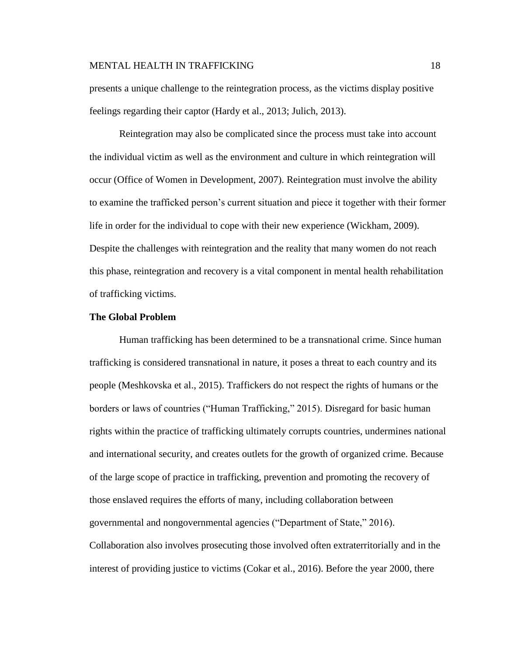presents a unique challenge to the reintegration process, as the victims display positive feelings regarding their captor (Hardy et al., 2013; Julich, 2013).

Reintegration may also be complicated since the process must take into account the individual victim as well as the environment and culture in which reintegration will occur (Office of Women in Development, 2007). Reintegration must involve the ability to examine the trafficked person's current situation and piece it together with their former life in order for the individual to cope with their new experience (Wickham, 2009). Despite the challenges with reintegration and the reality that many women do not reach this phase, reintegration and recovery is a vital component in mental health rehabilitation of trafficking victims.

# **The Global Problem**

Human trafficking has been determined to be a transnational crime. Since human trafficking is considered transnational in nature, it poses a threat to each country and its people (Meshkovska et al., 2015). Traffickers do not respect the rights of humans or the borders or laws of countries ("Human Trafficking," 2015). Disregard for basic human rights within the practice of trafficking ultimately corrupts countries, undermines national and international security, and creates outlets for the growth of organized crime. Because of the large scope of practice in trafficking, prevention and promoting the recovery of those enslaved requires the efforts of many, including collaboration between governmental and nongovernmental agencies ("Department of State," 2016). Collaboration also involves prosecuting those involved often extraterritorially and in the interest of providing justice to victims (Cokar et al., 2016). Before the year 2000, there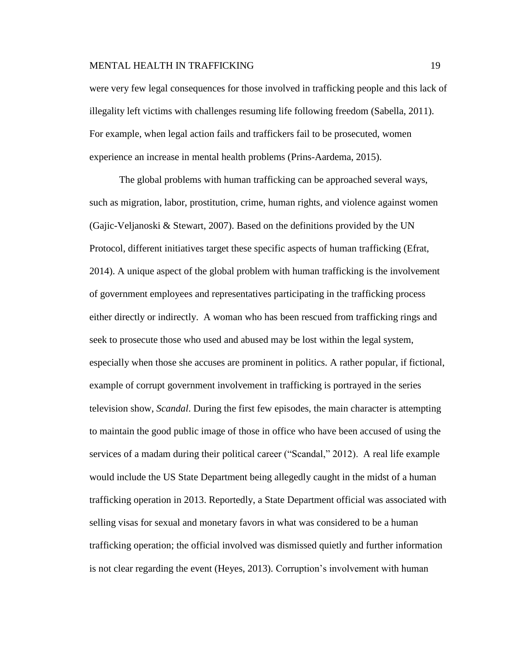were very few legal consequences for those involved in trafficking people and this lack of illegality left victims with challenges resuming life following freedom (Sabella, 2011). For example, when legal action fails and traffickers fail to be prosecuted, women experience an increase in mental health problems (Prins-Aardema, 2015).

The global problems with human trafficking can be approached several ways, such as migration, labor, prostitution, crime, human rights, and violence against women (Gajic-Veljanoski & Stewart, 2007). Based on the definitions provided by the UN Protocol, different initiatives target these specific aspects of human trafficking (Efrat, 2014). A unique aspect of the global problem with human trafficking is the involvement of government employees and representatives participating in the trafficking process either directly or indirectly. A woman who has been rescued from trafficking rings and seek to prosecute those who used and abused may be lost within the legal system, especially when those she accuses are prominent in politics. A rather popular, if fictional, example of corrupt government involvement in trafficking is portrayed in the series television show, *Scandal*. During the first few episodes, the main character is attempting to maintain the good public image of those in office who have been accused of using the services of a madam during their political career ("Scandal," 2012). A real life example would include the US State Department being allegedly caught in the midst of a human trafficking operation in 2013. Reportedly, a State Department official was associated with selling visas for sexual and monetary favors in what was considered to be a human trafficking operation; the official involved was dismissed quietly and further information is not clear regarding the event (Heyes, 2013). Corruption's involvement with human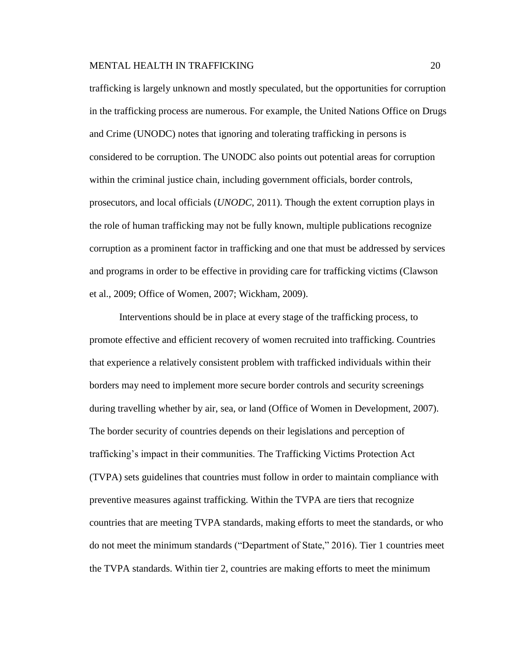trafficking is largely unknown and mostly speculated, but the opportunities for corruption in the trafficking process are numerous. For example, the United Nations Office on Drugs and Crime (UNODC) notes that ignoring and tolerating trafficking in persons is considered to be corruption. The UNODC also points out potential areas for corruption within the criminal justice chain, including government officials, border controls, prosecutors, and local officials (*UNODC*, 2011). Though the extent corruption plays in the role of human trafficking may not be fully known, multiple publications recognize corruption as a prominent factor in trafficking and one that must be addressed by services and programs in order to be effective in providing care for trafficking victims (Clawson et al., 2009; Office of Women, 2007; Wickham, 2009).

Interventions should be in place at every stage of the trafficking process, to promote effective and efficient recovery of women recruited into trafficking. Countries that experience a relatively consistent problem with trafficked individuals within their borders may need to implement more secure border controls and security screenings during travelling whether by air, sea, or land (Office of Women in Development, 2007). The border security of countries depends on their legislations and perception of trafficking's impact in their communities. The Trafficking Victims Protection Act (TVPA) sets guidelines that countries must follow in order to maintain compliance with preventive measures against trafficking. Within the TVPA are tiers that recognize countries that are meeting TVPA standards, making efforts to meet the standards, or who do not meet the minimum standards ("Department of State," 2016). Tier 1 countries meet the TVPA standards. Within tier 2, countries are making efforts to meet the minimum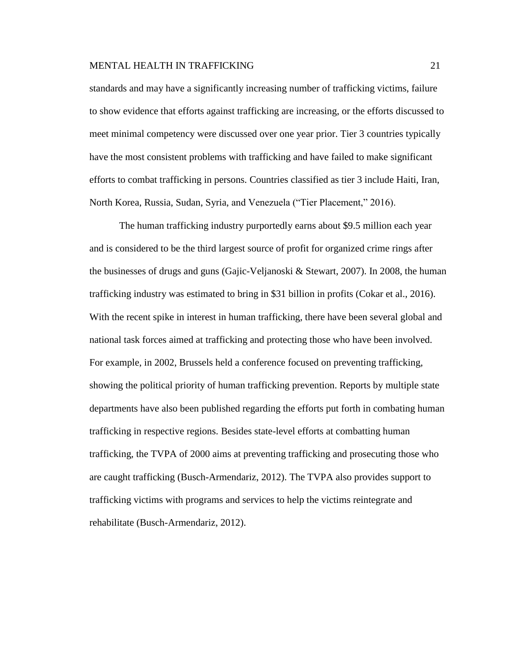standards and may have a significantly increasing number of trafficking victims, failure to show evidence that efforts against trafficking are increasing, or the efforts discussed to meet minimal competency were discussed over one year prior. Tier 3 countries typically have the most consistent problems with trafficking and have failed to make significant efforts to combat trafficking in persons. Countries classified as tier 3 include Haiti, Iran, North Korea, Russia, Sudan, Syria, and Venezuela ("Tier Placement," 2016).

The human trafficking industry purportedly earns about \$9.5 million each year and is considered to be the third largest source of profit for organized crime rings after the businesses of drugs and guns (Gajic-Veljanoski & Stewart, 2007). In 2008, the human trafficking industry was estimated to bring in \$31 billion in profits (Cokar et al., 2016). With the recent spike in interest in human trafficking, there have been several global and national task forces aimed at trafficking and protecting those who have been involved. For example, in 2002, Brussels held a conference focused on preventing trafficking, showing the political priority of human trafficking prevention. Reports by multiple state departments have also been published regarding the efforts put forth in combating human trafficking in respective regions. Besides state-level efforts at combatting human trafficking, the TVPA of 2000 aims at preventing trafficking and prosecuting those who are caught trafficking (Busch-Armendariz, 2012). The TVPA also provides support to trafficking victims with programs and services to help the victims reintegrate and rehabilitate (Busch-Armendariz, 2012).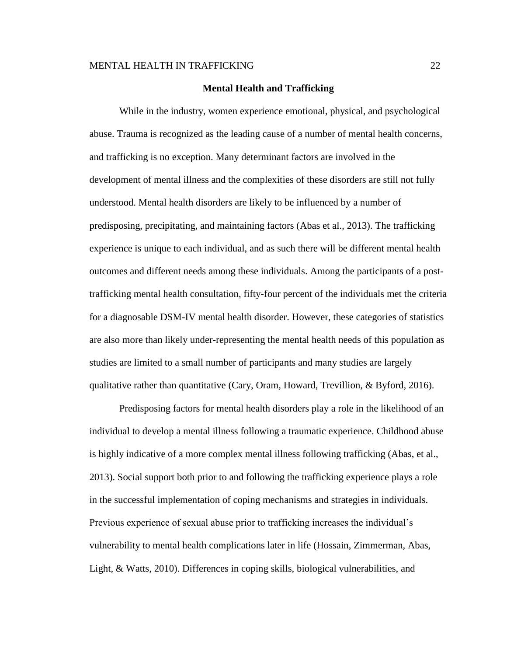#### **Mental Health and Trafficking**

While in the industry, women experience emotional, physical, and psychological abuse. Trauma is recognized as the leading cause of a number of mental health concerns, and trafficking is no exception. Many determinant factors are involved in the development of mental illness and the complexities of these disorders are still not fully understood. Mental health disorders are likely to be influenced by a number of predisposing, precipitating, and maintaining factors (Abas et al., 2013). The trafficking experience is unique to each individual, and as such there will be different mental health outcomes and different needs among these individuals. Among the participants of a posttrafficking mental health consultation, fifty-four percent of the individuals met the criteria for a diagnosable DSM-IV mental health disorder. However, these categories of statistics are also more than likely under-representing the mental health needs of this population as studies are limited to a small number of participants and many studies are largely qualitative rather than quantitative (Cary, Oram, Howard, Trevillion, & Byford, 2016).

Predisposing factors for mental health disorders play a role in the likelihood of an individual to develop a mental illness following a traumatic experience. Childhood abuse is highly indicative of a more complex mental illness following trafficking (Abas, et al., 2013). Social support both prior to and following the trafficking experience plays a role in the successful implementation of coping mechanisms and strategies in individuals. Previous experience of sexual abuse prior to trafficking increases the individual's vulnerability to mental health complications later in life (Hossain, Zimmerman, Abas, Light, & Watts, 2010). Differences in coping skills, biological vulnerabilities, and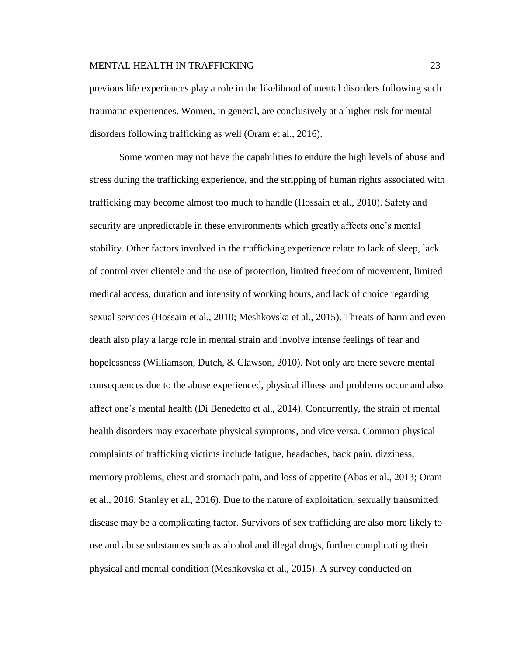previous life experiences play a role in the likelihood of mental disorders following such traumatic experiences. Women, in general, are conclusively at a higher risk for mental disorders following trafficking as well (Oram et al., 2016).

Some women may not have the capabilities to endure the high levels of abuse and stress during the trafficking experience, and the stripping of human rights associated with trafficking may become almost too much to handle (Hossain et al., 2010). Safety and security are unpredictable in these environments which greatly affects one's mental stability. Other factors involved in the trafficking experience relate to lack of sleep, lack of control over clientele and the use of protection, limited freedom of movement, limited medical access, duration and intensity of working hours, and lack of choice regarding sexual services (Hossain et al., 2010; Meshkovska et al., 2015). Threats of harm and even death also play a large role in mental strain and involve intense feelings of fear and hopelessness (Williamson, Dutch, & Clawson, 2010). Not only are there severe mental consequences due to the abuse experienced, physical illness and problems occur and also affect one's mental health (Di Benedetto et al., 2014). Concurrently, the strain of mental health disorders may exacerbate physical symptoms, and vice versa. Common physical complaints of trafficking victims include fatigue, headaches, back pain, dizziness, memory problems, chest and stomach pain, and loss of appetite (Abas et al., 2013; Oram et al., 2016; Stanley et al., 2016). Due to the nature of exploitation, sexually transmitted disease may be a complicating factor. Survivors of sex trafficking are also more likely to use and abuse substances such as alcohol and illegal drugs, further complicating their physical and mental condition (Meshkovska et al., 2015). A survey conducted on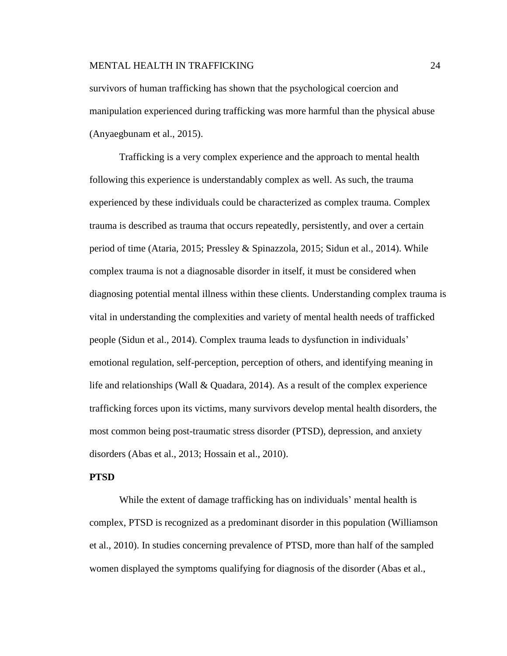survivors of human trafficking has shown that the psychological coercion and manipulation experienced during trafficking was more harmful than the physical abuse (Anyaegbunam et al., 2015).

Trafficking is a very complex experience and the approach to mental health following this experience is understandably complex as well. As such, the trauma experienced by these individuals could be characterized as complex trauma. Complex trauma is described as trauma that occurs repeatedly, persistently, and over a certain period of time (Ataria, 2015; Pressley & Spinazzola, 2015; Sidun et al., 2014). While complex trauma is not a diagnosable disorder in itself, it must be considered when diagnosing potential mental illness within these clients. Understanding complex trauma is vital in understanding the complexities and variety of mental health needs of trafficked people (Sidun et al., 2014). Complex trauma leads to dysfunction in individuals' emotional regulation, self-perception, perception of others, and identifying meaning in life and relationships (Wall & Quadara, 2014). As a result of the complex experience trafficking forces upon its victims, many survivors develop mental health disorders, the most common being post-traumatic stress disorder (PTSD), depression, and anxiety disorders (Abas et al., 2013; Hossain et al., 2010).

#### **PTSD**

While the extent of damage trafficking has on individuals' mental health is complex, PTSD is recognized as a predominant disorder in this population (Williamson et al., 2010). In studies concerning prevalence of PTSD, more than half of the sampled women displayed the symptoms qualifying for diagnosis of the disorder (Abas et al.,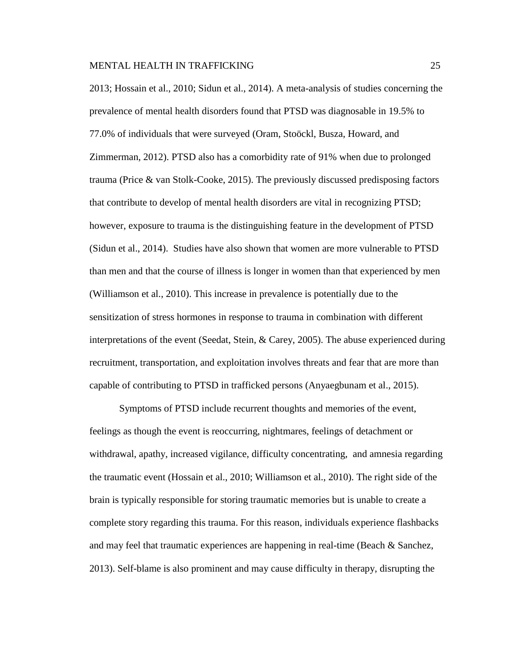2013; Hossain et al., 2010; Sidun et al., 2014). A meta-analysis of studies concerning the prevalence of mental health disorders found that PTSD was diagnosable in 19.5% to 77.0% of individuals that were surveyed (Oram, Stoöckl, Busza, Howard, and Zimmerman, 2012). PTSD also has a comorbidity rate of 91% when due to prolonged trauma (Price & van Stolk-Cooke, 2015). The previously discussed predisposing factors that contribute to develop of mental health disorders are vital in recognizing PTSD; however, exposure to trauma is the distinguishing feature in the development of PTSD (Sidun et al., 2014). Studies have also shown that women are more vulnerable to PTSD than men and that the course of illness is longer in women than that experienced by men (Williamson et al., 2010). This increase in prevalence is potentially due to the sensitization of stress hormones in response to trauma in combination with different interpretations of the event (Seedat, Stein, & Carey, 2005). The abuse experienced during recruitment, transportation, and exploitation involves threats and fear that are more than capable of contributing to PTSD in trafficked persons (Anyaegbunam et al., 2015).

Symptoms of PTSD include recurrent thoughts and memories of the event, feelings as though the event is reoccurring, nightmares, feelings of detachment or withdrawal, apathy, increased vigilance, difficulty concentrating, and amnesia regarding the traumatic event (Hossain et al., 2010; Williamson et al., 2010). The right side of the brain is typically responsible for storing traumatic memories but is unable to create a complete story regarding this trauma. For this reason, individuals experience flashbacks and may feel that traumatic experiences are happening in real-time (Beach & Sanchez, 2013). Self-blame is also prominent and may cause difficulty in therapy, disrupting the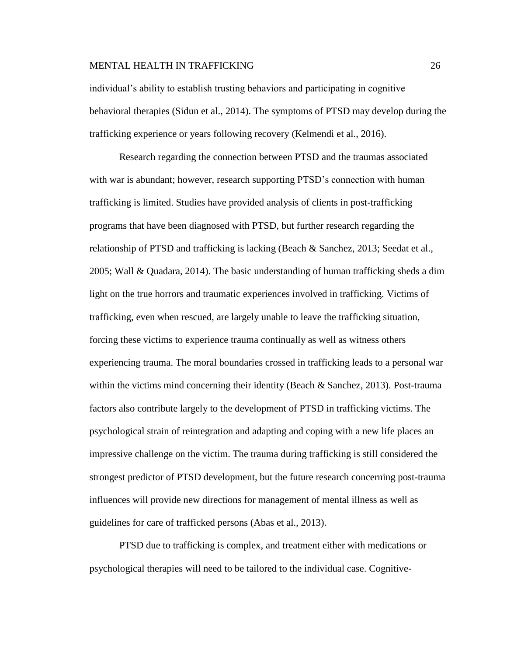individual's ability to establish trusting behaviors and participating in cognitive behavioral therapies (Sidun et al., 2014). The symptoms of PTSD may develop during the trafficking experience or years following recovery (Kelmendi et al., 2016).

Research regarding the connection between PTSD and the traumas associated with war is abundant; however, research supporting PTSD's connection with human trafficking is limited. Studies have provided analysis of clients in post-trafficking programs that have been diagnosed with PTSD, but further research regarding the relationship of PTSD and trafficking is lacking (Beach & Sanchez, 2013; Seedat et al., 2005; Wall & Quadara, 2014). The basic understanding of human trafficking sheds a dim light on the true horrors and traumatic experiences involved in trafficking. Victims of trafficking, even when rescued, are largely unable to leave the trafficking situation, forcing these victims to experience trauma continually as well as witness others experiencing trauma. The moral boundaries crossed in trafficking leads to a personal war within the victims mind concerning their identity (Beach & Sanchez, 2013). Post-trauma factors also contribute largely to the development of PTSD in trafficking victims. The psychological strain of reintegration and adapting and coping with a new life places an impressive challenge on the victim. The trauma during trafficking is still considered the strongest predictor of PTSD development, but the future research concerning post-trauma influences will provide new directions for management of mental illness as well as guidelines for care of trafficked persons (Abas et al., 2013).

PTSD due to trafficking is complex, and treatment either with medications or psychological therapies will need to be tailored to the individual case. Cognitive-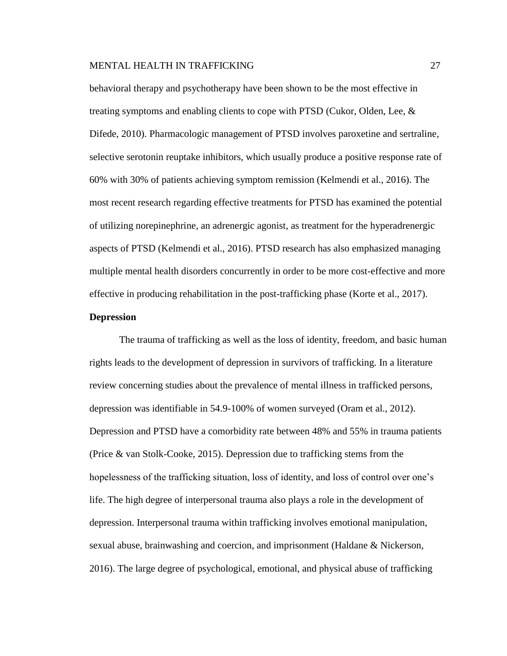behavioral therapy and psychotherapy have been shown to be the most effective in treating symptoms and enabling clients to cope with PTSD (Cukor, Olden, Lee, & Difede, 2010). Pharmacologic management of PTSD involves paroxetine and sertraline, selective serotonin reuptake inhibitors, which usually produce a positive response rate of 60% with 30% of patients achieving symptom remission (Kelmendi et al., 2016). The most recent research regarding effective treatments for PTSD has examined the potential of utilizing norepinephrine, an adrenergic agonist, as treatment for the hyperadrenergic aspects of PTSD (Kelmendi et al., 2016). PTSD research has also emphasized managing multiple mental health disorders concurrently in order to be more cost-effective and more effective in producing rehabilitation in the post-trafficking phase (Korte et al., 2017).

#### **Depression**

The trauma of trafficking as well as the loss of identity, freedom, and basic human rights leads to the development of depression in survivors of trafficking. In a literature review concerning studies about the prevalence of mental illness in trafficked persons, depression was identifiable in 54.9-100% of women surveyed (Oram et al., 2012). Depression and PTSD have a comorbidity rate between 48% and 55% in trauma patients (Price & van Stolk-Cooke, 2015). Depression due to trafficking stems from the hopelessness of the trafficking situation, loss of identity, and loss of control over one's life. The high degree of interpersonal trauma also plays a role in the development of depression. Interpersonal trauma within trafficking involves emotional manipulation, sexual abuse, brainwashing and coercion, and imprisonment (Haldane & Nickerson, 2016). The large degree of psychological, emotional, and physical abuse of trafficking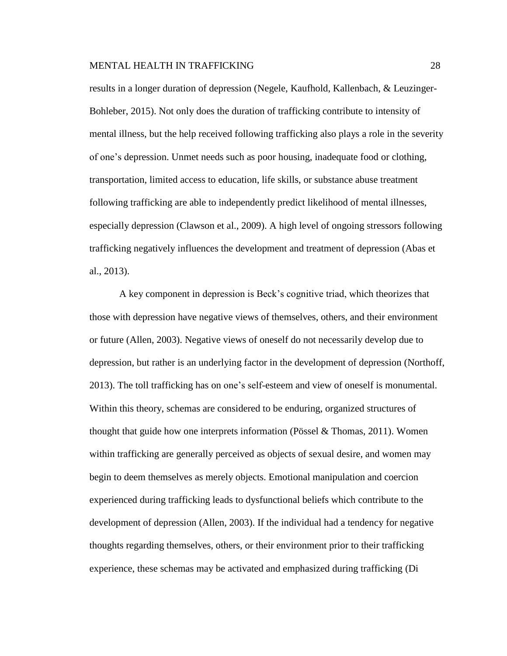results in a longer duration of depression (Negele, Kaufhold, Kallenbach, & Leuzinger-Bohleber, 2015). Not only does the duration of trafficking contribute to intensity of mental illness, but the help received following trafficking also plays a role in the severity of one's depression. Unmet needs such as poor housing, inadequate food or clothing, transportation, limited access to education, life skills, or substance abuse treatment following trafficking are able to independently predict likelihood of mental illnesses, especially depression (Clawson et al., 2009). A high level of ongoing stressors following trafficking negatively influences the development and treatment of depression (Abas et al., 2013).

A key component in depression is Beck's cognitive triad, which theorizes that those with depression have negative views of themselves, others, and their environment or future (Allen, 2003). Negative views of oneself do not necessarily develop due to depression, but rather is an underlying factor in the development of depression (Northoff, 2013). The toll trafficking has on one's self-esteem and view of oneself is monumental. Within this theory, schemas are considered to be enduring, organized structures of thought that guide how one interprets information (Pössel & Thomas, 2011). Women within trafficking are generally perceived as objects of sexual desire, and women may begin to deem themselves as merely objects. Emotional manipulation and coercion experienced during trafficking leads to dysfunctional beliefs which contribute to the development of depression (Allen, 2003). If the individual had a tendency for negative thoughts regarding themselves, others, or their environment prior to their trafficking experience, these schemas may be activated and emphasized during trafficking (Di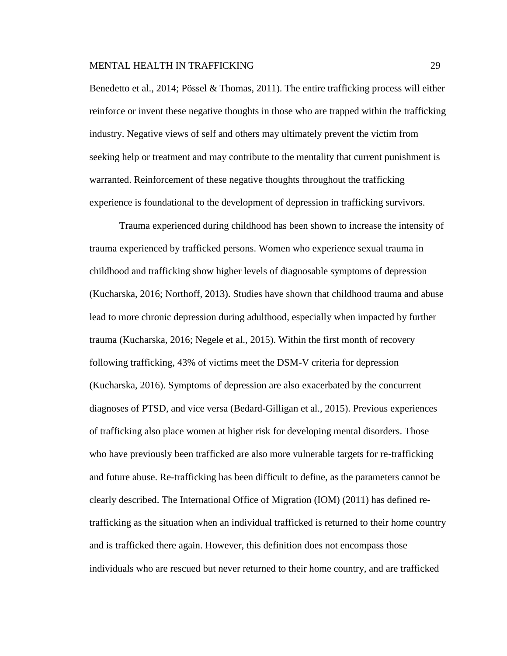Benedetto et al., 2014; Pössel & Thomas, 2011). The entire trafficking process will either reinforce or invent these negative thoughts in those who are trapped within the trafficking industry. Negative views of self and others may ultimately prevent the victim from seeking help or treatment and may contribute to the mentality that current punishment is warranted. Reinforcement of these negative thoughts throughout the trafficking experience is foundational to the development of depression in trafficking survivors.

Trauma experienced during childhood has been shown to increase the intensity of trauma experienced by trafficked persons. Women who experience sexual trauma in childhood and trafficking show higher levels of diagnosable symptoms of depression (Kucharska, 2016; Northoff, 2013). Studies have shown that childhood trauma and abuse lead to more chronic depression during adulthood, especially when impacted by further trauma (Kucharska, 2016; Negele et al., 2015). Within the first month of recovery following trafficking, 43% of victims meet the DSM-V criteria for depression (Kucharska, 2016). Symptoms of depression are also exacerbated by the concurrent diagnoses of PTSD, and vice versa (Bedard-Gilligan et al., 2015). Previous experiences of trafficking also place women at higher risk for developing mental disorders. Those who have previously been trafficked are also more vulnerable targets for re-trafficking and future abuse. Re-trafficking has been difficult to define, as the parameters cannot be clearly described. The International Office of Migration (IOM) (2011) has defined retrafficking as the situation when an individual trafficked is returned to their home country and is trafficked there again. However, this definition does not encompass those individuals who are rescued but never returned to their home country, and are trafficked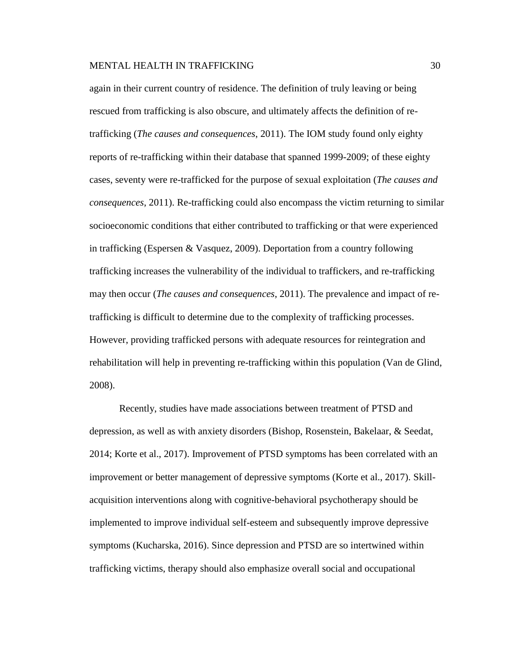again in their current country of residence. The definition of truly leaving or being rescued from trafficking is also obscure, and ultimately affects the definition of retrafficking (*The causes and consequences*, 2011). The IOM study found only eighty reports of re-trafficking within their database that spanned 1999-2009; of these eighty cases, seventy were re-trafficked for the purpose of sexual exploitation (*The causes and consequences*, 2011). Re-trafficking could also encompass the victim returning to similar socioeconomic conditions that either contributed to trafficking or that were experienced in trafficking (Espersen & Vasquez, 2009). Deportation from a country following trafficking increases the vulnerability of the individual to traffickers, and re-trafficking may then occur (*The causes and consequences*, 2011). The prevalence and impact of retrafficking is difficult to determine due to the complexity of trafficking processes. However, providing trafficked persons with adequate resources for reintegration and rehabilitation will help in preventing re-trafficking within this population (Van de Glind, 2008).

Recently, studies have made associations between treatment of PTSD and depression, as well as with anxiety disorders (Bishop, Rosenstein, Bakelaar, & Seedat, 2014; Korte et al., 2017). Improvement of PTSD symptoms has been correlated with an improvement or better management of depressive symptoms (Korte et al., 2017). Skillacquisition interventions along with cognitive-behavioral psychotherapy should be implemented to improve individual self-esteem and subsequently improve depressive symptoms (Kucharska, 2016). Since depression and PTSD are so intertwined within trafficking victims, therapy should also emphasize overall social and occupational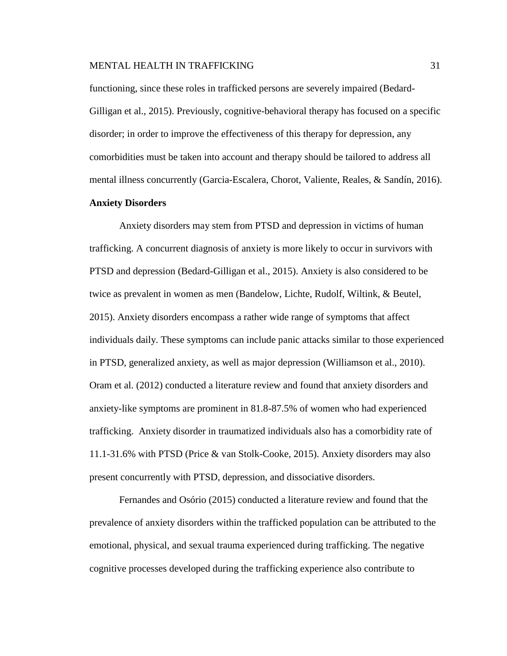functioning, since these roles in trafficked persons are severely impaired (Bedard-Gilligan et al., 2015). Previously, cognitive-behavioral therapy has focused on a specific disorder; in order to improve the effectiveness of this therapy for depression, any comorbidities must be taken into account and therapy should be tailored to address all mental illness concurrently (Garcia-Escalera, Chorot, Valiente, Reales, & Sandín, 2016).

# **Anxiety Disorders**

Anxiety disorders may stem from PTSD and depression in victims of human trafficking. A concurrent diagnosis of anxiety is more likely to occur in survivors with PTSD and depression (Bedard-Gilligan et al., 2015). Anxiety is also considered to be twice as prevalent in women as men (Bandelow, Lichte, Rudolf, Wiltink, & Beutel, 2015). Anxiety disorders encompass a rather wide range of symptoms that affect individuals daily. These symptoms can include panic attacks similar to those experienced in PTSD, generalized anxiety, as well as major depression (Williamson et al., 2010). Oram et al. (2012) conducted a literature review and found that anxiety disorders and anxiety-like symptoms are prominent in 81.8-87.5% of women who had experienced trafficking. Anxiety disorder in traumatized individuals also has a comorbidity rate of 11.1-31.6% with PTSD (Price & van Stolk-Cooke, 2015). Anxiety disorders may also present concurrently with PTSD, depression, and dissociative disorders.

Fernandes and Osório (2015) conducted a literature review and found that the prevalence of anxiety disorders within the trafficked population can be attributed to the emotional, physical, and sexual trauma experienced during trafficking. The negative cognitive processes developed during the trafficking experience also contribute to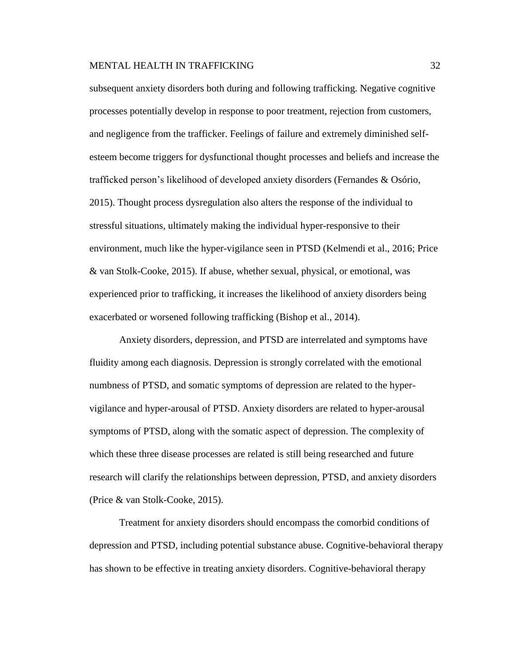subsequent anxiety disorders both during and following trafficking. Negative cognitive processes potentially develop in response to poor treatment, rejection from customers, and negligence from the trafficker. Feelings of failure and extremely diminished selfesteem become triggers for dysfunctional thought processes and beliefs and increase the trafficked person's likelihood of developed anxiety disorders (Fernandes & Osório, 2015). Thought process dysregulation also alters the response of the individual to stressful situations, ultimately making the individual hyper-responsive to their environment, much like the hyper-vigilance seen in PTSD (Kelmendi et al., 2016; Price & van Stolk-Cooke, 2015). If abuse, whether sexual, physical, or emotional, was experienced prior to trafficking, it increases the likelihood of anxiety disorders being exacerbated or worsened following trafficking (Bishop et al., 2014).

Anxiety disorders, depression, and PTSD are interrelated and symptoms have fluidity among each diagnosis. Depression is strongly correlated with the emotional numbness of PTSD, and somatic symptoms of depression are related to the hypervigilance and hyper-arousal of PTSD. Anxiety disorders are related to hyper-arousal symptoms of PTSD, along with the somatic aspect of depression. The complexity of which these three disease processes are related is still being researched and future research will clarify the relationships between depression, PTSD, and anxiety disorders (Price & van Stolk-Cooke, 2015).

Treatment for anxiety disorders should encompass the comorbid conditions of depression and PTSD, including potential substance abuse. Cognitive-behavioral therapy has shown to be effective in treating anxiety disorders. Cognitive-behavioral therapy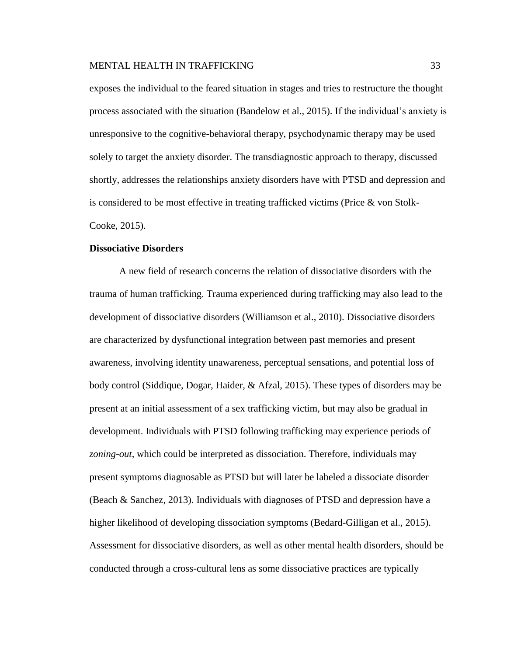exposes the individual to the feared situation in stages and tries to restructure the thought process associated with the situation (Bandelow et al., 2015). If the individual's anxiety is unresponsive to the cognitive-behavioral therapy, psychodynamic therapy may be used solely to target the anxiety disorder. The transdiagnostic approach to therapy, discussed shortly, addresses the relationships anxiety disorders have with PTSD and depression and is considered to be most effective in treating trafficked victims (Price & von Stolk-Cooke, 2015).

#### **Dissociative Disorders**

A new field of research concerns the relation of dissociative disorders with the trauma of human trafficking. Trauma experienced during trafficking may also lead to the development of dissociative disorders (Williamson et al., 2010). Dissociative disorders are characterized by dysfunctional integration between past memories and present awareness, involving identity unawareness, perceptual sensations, and potential loss of body control (Siddique, Dogar, Haider, & Afzal, 2015). These types of disorders may be present at an initial assessment of a sex trafficking victim, but may also be gradual in development. Individuals with PTSD following trafficking may experience periods of *zoning-out*, which could be interpreted as dissociation. Therefore, individuals may present symptoms diagnosable as PTSD but will later be labeled a dissociate disorder (Beach & Sanchez, 2013). Individuals with diagnoses of PTSD and depression have a higher likelihood of developing dissociation symptoms (Bedard-Gilligan et al., 2015). Assessment for dissociative disorders, as well as other mental health disorders, should be conducted through a cross-cultural lens as some dissociative practices are typically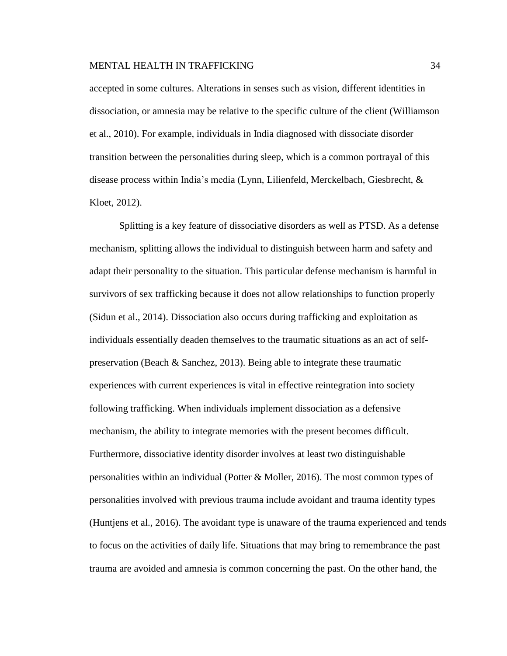accepted in some cultures. Alterations in senses such as vision, different identities in dissociation, or amnesia may be relative to the specific culture of the client (Williamson et al., 2010). For example, individuals in India diagnosed with dissociate disorder transition between the personalities during sleep, which is a common portrayal of this disease process within India's media (Lynn, Lilienfeld, Merckelbach, Giesbrecht, & Kloet, 2012).

Splitting is a key feature of dissociative disorders as well as PTSD. As a defense mechanism, splitting allows the individual to distinguish between harm and safety and adapt their personality to the situation. This particular defense mechanism is harmful in survivors of sex trafficking because it does not allow relationships to function properly (Sidun et al., 2014). Dissociation also occurs during trafficking and exploitation as individuals essentially deaden themselves to the traumatic situations as an act of selfpreservation (Beach & Sanchez, 2013). Being able to integrate these traumatic experiences with current experiences is vital in effective reintegration into society following trafficking. When individuals implement dissociation as a defensive mechanism, the ability to integrate memories with the present becomes difficult. Furthermore, dissociative identity disorder involves at least two distinguishable personalities within an individual (Potter & Moller, 2016). The most common types of personalities involved with previous trauma include avoidant and trauma identity types (Huntjens et al., 2016). The avoidant type is unaware of the trauma experienced and tends to focus on the activities of daily life. Situations that may bring to remembrance the past trauma are avoided and amnesia is common concerning the past. On the other hand, the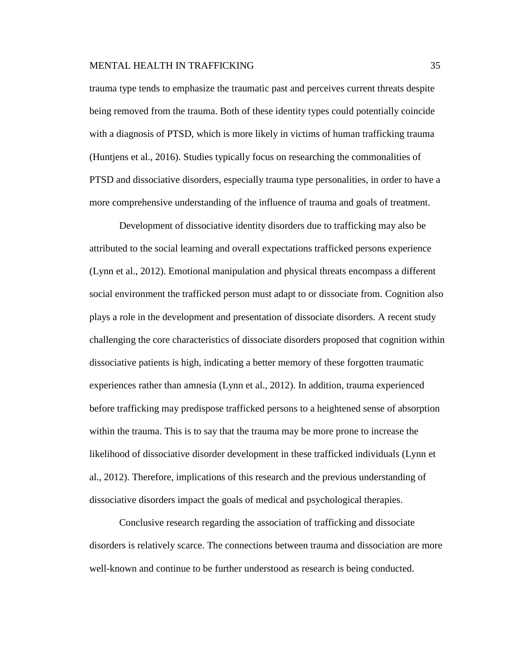trauma type tends to emphasize the traumatic past and perceives current threats despite being removed from the trauma. Both of these identity types could potentially coincide with a diagnosis of PTSD, which is more likely in victims of human trafficking trauma (Huntjens et al., 2016). Studies typically focus on researching the commonalities of PTSD and dissociative disorders, especially trauma type personalities, in order to have a more comprehensive understanding of the influence of trauma and goals of treatment.

Development of dissociative identity disorders due to trafficking may also be attributed to the social learning and overall expectations trafficked persons experience (Lynn et al., 2012). Emotional manipulation and physical threats encompass a different social environment the trafficked person must adapt to or dissociate from. Cognition also plays a role in the development and presentation of dissociate disorders. A recent study challenging the core characteristics of dissociate disorders proposed that cognition within dissociative patients is high, indicating a better memory of these forgotten traumatic experiences rather than amnesia (Lynn et al., 2012). In addition, trauma experienced before trafficking may predispose trafficked persons to a heightened sense of absorption within the trauma. This is to say that the trauma may be more prone to increase the likelihood of dissociative disorder development in these trafficked individuals (Lynn et al., 2012). Therefore, implications of this research and the previous understanding of dissociative disorders impact the goals of medical and psychological therapies.

Conclusive research regarding the association of trafficking and dissociate disorders is relatively scarce. The connections between trauma and dissociation are more well-known and continue to be further understood as research is being conducted.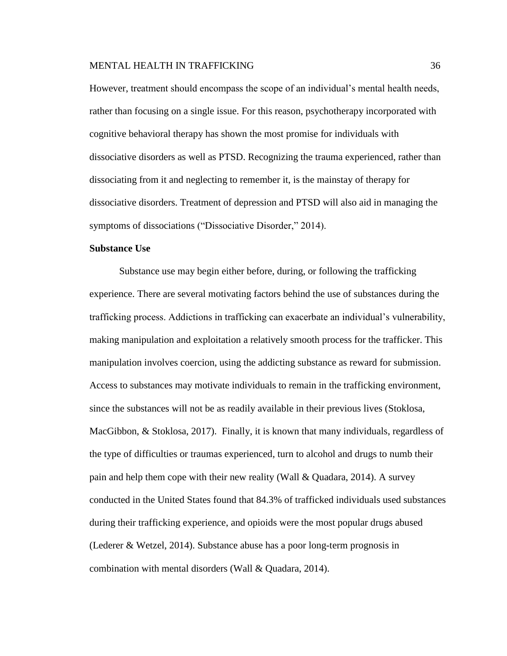However, treatment should encompass the scope of an individual's mental health needs, rather than focusing on a single issue. For this reason, psychotherapy incorporated with cognitive behavioral therapy has shown the most promise for individuals with dissociative disorders as well as PTSD. Recognizing the trauma experienced, rather than dissociating from it and neglecting to remember it, is the mainstay of therapy for dissociative disorders. Treatment of depression and PTSD will also aid in managing the symptoms of dissociations ("Dissociative Disorder," 2014).

#### **Substance Use**

Substance use may begin either before, during, or following the trafficking experience. There are several motivating factors behind the use of substances during the trafficking process. Addictions in trafficking can exacerbate an individual's vulnerability, making manipulation and exploitation a relatively smooth process for the trafficker. This manipulation involves coercion, using the addicting substance as reward for submission. Access to substances may motivate individuals to remain in the trafficking environment, since the substances will not be as readily available in their previous lives (Stoklosa, MacGibbon, & Stoklosa, 2017). Finally, it is known that many individuals, regardless of the type of difficulties or traumas experienced, turn to alcohol and drugs to numb their pain and help them cope with their new reality (Wall & Quadara, 2014). A survey conducted in the United States found that 84.3% of trafficked individuals used substances during their trafficking experience, and opioids were the most popular drugs abused (Lederer & Wetzel, 2014). Substance abuse has a poor long-term prognosis in combination with mental disorders (Wall & Quadara, 2014).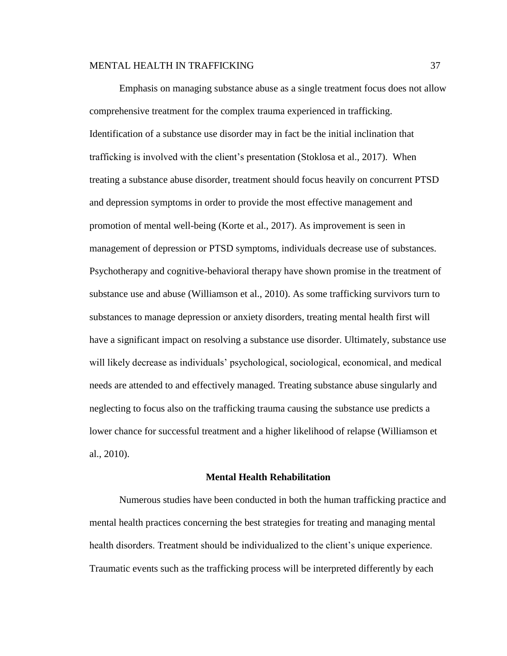Emphasis on managing substance abuse as a single treatment focus does not allow comprehensive treatment for the complex trauma experienced in trafficking. Identification of a substance use disorder may in fact be the initial inclination that trafficking is involved with the client's presentation (Stoklosa et al., 2017). When treating a substance abuse disorder, treatment should focus heavily on concurrent PTSD and depression symptoms in order to provide the most effective management and promotion of mental well-being (Korte et al., 2017). As improvement is seen in management of depression or PTSD symptoms, individuals decrease use of substances. Psychotherapy and cognitive-behavioral therapy have shown promise in the treatment of substance use and abuse (Williamson et al., 2010). As some trafficking survivors turn to substances to manage depression or anxiety disorders, treating mental health first will have a significant impact on resolving a substance use disorder. Ultimately, substance use will likely decrease as individuals' psychological, sociological, economical, and medical needs are attended to and effectively managed. Treating substance abuse singularly and neglecting to focus also on the trafficking trauma causing the substance use predicts a lower chance for successful treatment and a higher likelihood of relapse (Williamson et al., 2010).

#### **Mental Health Rehabilitation**

Numerous studies have been conducted in both the human trafficking practice and mental health practices concerning the best strategies for treating and managing mental health disorders. Treatment should be individualized to the client's unique experience. Traumatic events such as the trafficking process will be interpreted differently by each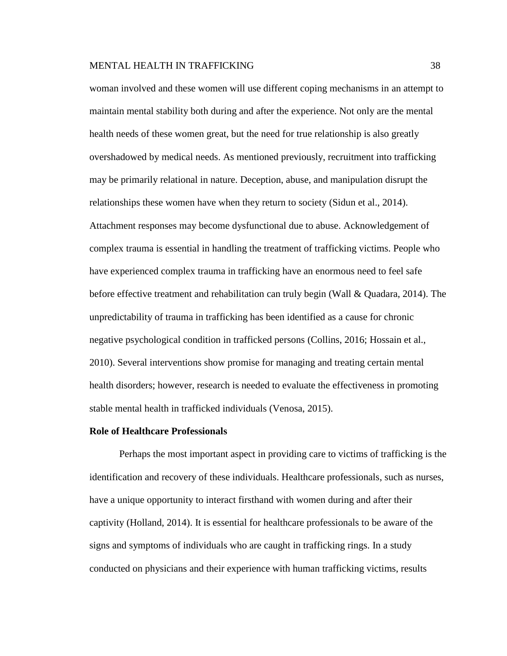woman involved and these women will use different coping mechanisms in an attempt to maintain mental stability both during and after the experience. Not only are the mental health needs of these women great, but the need for true relationship is also greatly overshadowed by medical needs. As mentioned previously, recruitment into trafficking may be primarily relational in nature. Deception, abuse, and manipulation disrupt the relationships these women have when they return to society (Sidun et al., 2014). Attachment responses may become dysfunctional due to abuse. Acknowledgement of complex trauma is essential in handling the treatment of trafficking victims. People who have experienced complex trauma in trafficking have an enormous need to feel safe before effective treatment and rehabilitation can truly begin (Wall & Quadara, 2014). The unpredictability of trauma in trafficking has been identified as a cause for chronic negative psychological condition in trafficked persons (Collins, 2016; Hossain et al., 2010). Several interventions show promise for managing and treating certain mental health disorders; however, research is needed to evaluate the effectiveness in promoting stable mental health in trafficked individuals (Venosa, 2015).

#### **Role of Healthcare Professionals**

Perhaps the most important aspect in providing care to victims of trafficking is the identification and recovery of these individuals. Healthcare professionals, such as nurses, have a unique opportunity to interact firsthand with women during and after their captivity (Holland, 2014). It is essential for healthcare professionals to be aware of the signs and symptoms of individuals who are caught in trafficking rings. In a study conducted on physicians and their experience with human trafficking victims, results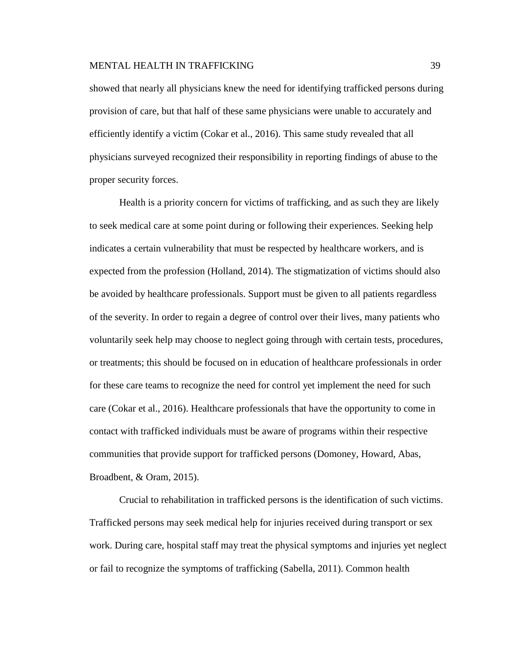showed that nearly all physicians knew the need for identifying trafficked persons during provision of care, but that half of these same physicians were unable to accurately and efficiently identify a victim (Cokar et al., 2016). This same study revealed that all physicians surveyed recognized their responsibility in reporting findings of abuse to the proper security forces.

Health is a priority concern for victims of trafficking, and as such they are likely to seek medical care at some point during or following their experiences. Seeking help indicates a certain vulnerability that must be respected by healthcare workers, and is expected from the profession (Holland, 2014). The stigmatization of victims should also be avoided by healthcare professionals. Support must be given to all patients regardless of the severity. In order to regain a degree of control over their lives, many patients who voluntarily seek help may choose to neglect going through with certain tests, procedures, or treatments; this should be focused on in education of healthcare professionals in order for these care teams to recognize the need for control yet implement the need for such care (Cokar et al., 2016). Healthcare professionals that have the opportunity to come in contact with trafficked individuals must be aware of programs within their respective communities that provide support for trafficked persons (Domoney, Howard, Abas, Broadbent, & Oram, 2015).

Crucial to rehabilitation in trafficked persons is the identification of such victims. Trafficked persons may seek medical help for injuries received during transport or sex work. During care, hospital staff may treat the physical symptoms and injuries yet neglect or fail to recognize the symptoms of trafficking (Sabella, 2011). Common health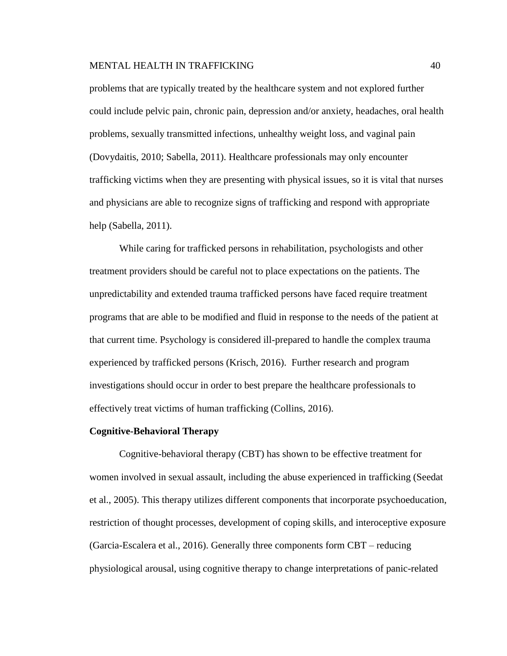problems that are typically treated by the healthcare system and not explored further could include pelvic pain, chronic pain, depression and/or anxiety, headaches, oral health problems, sexually transmitted infections, unhealthy weight loss, and vaginal pain (Dovydaitis, 2010; Sabella, 2011). Healthcare professionals may only encounter trafficking victims when they are presenting with physical issues, so it is vital that nurses and physicians are able to recognize signs of trafficking and respond with appropriate help (Sabella, 2011).

While caring for trafficked persons in rehabilitation, psychologists and other treatment providers should be careful not to place expectations on the patients. The unpredictability and extended trauma trafficked persons have faced require treatment programs that are able to be modified and fluid in response to the needs of the patient at that current time. Psychology is considered ill-prepared to handle the complex trauma experienced by trafficked persons (Krisch, 2016). Further research and program investigations should occur in order to best prepare the healthcare professionals to effectively treat victims of human trafficking (Collins, 2016).

# **Cognitive-Behavioral Therapy**

Cognitive-behavioral therapy (CBT) has shown to be effective treatment for women involved in sexual assault, including the abuse experienced in trafficking (Seedat et al., 2005). This therapy utilizes different components that incorporate psychoeducation, restriction of thought processes, development of coping skills, and interoceptive exposure (Garcia-Escalera et al., 2016). Generally three components form CBT – reducing physiological arousal, using cognitive therapy to change interpretations of panic-related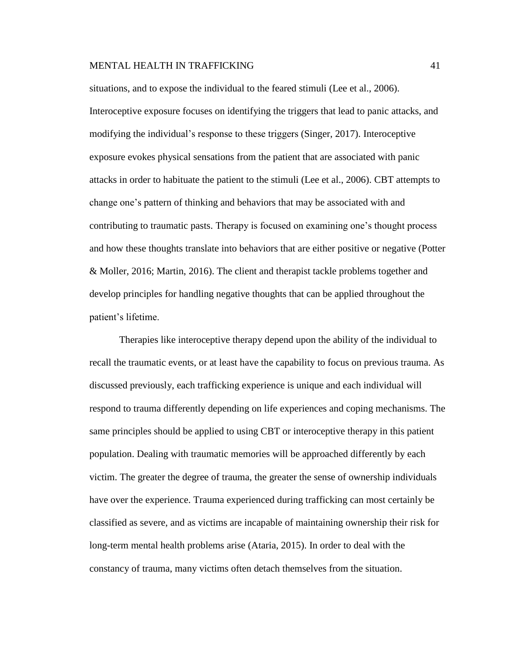situations, and to expose the individual to the feared stimuli (Lee et al., 2006). Interoceptive exposure focuses on identifying the triggers that lead to panic attacks, and modifying the individual's response to these triggers (Singer, 2017). Interoceptive exposure evokes physical sensations from the patient that are associated with panic attacks in order to habituate the patient to the stimuli (Lee et al., 2006). CBT attempts to change one's pattern of thinking and behaviors that may be associated with and contributing to traumatic pasts. Therapy is focused on examining one's thought process and how these thoughts translate into behaviors that are either positive or negative (Potter & Moller, 2016; Martin, 2016). The client and therapist tackle problems together and develop principles for handling negative thoughts that can be applied throughout the patient's lifetime.

Therapies like interoceptive therapy depend upon the ability of the individual to recall the traumatic events, or at least have the capability to focus on previous trauma. As discussed previously, each trafficking experience is unique and each individual will respond to trauma differently depending on life experiences and coping mechanisms. The same principles should be applied to using CBT or interoceptive therapy in this patient population. Dealing with traumatic memories will be approached differently by each victim. The greater the degree of trauma, the greater the sense of ownership individuals have over the experience. Trauma experienced during trafficking can most certainly be classified as severe, and as victims are incapable of maintaining ownership their risk for long-term mental health problems arise (Ataria, 2015). In order to deal with the constancy of trauma, many victims often detach themselves from the situation.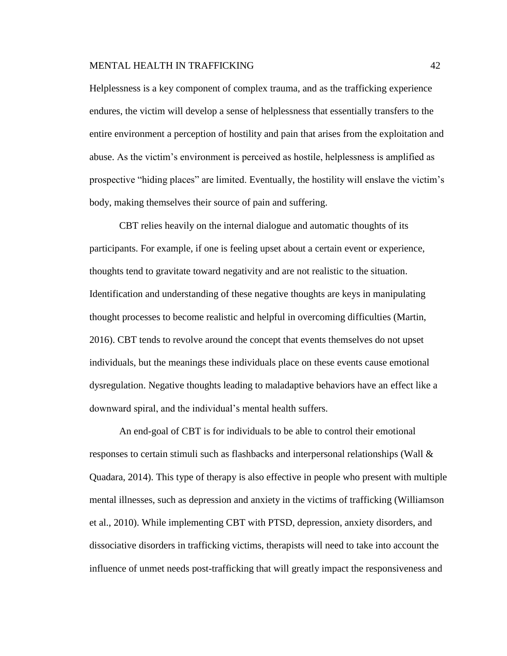Helplessness is a key component of complex trauma, and as the trafficking experience endures, the victim will develop a sense of helplessness that essentially transfers to the entire environment a perception of hostility and pain that arises from the exploitation and abuse. As the victim's environment is perceived as hostile, helplessness is amplified as prospective "hiding places" are limited. Eventually, the hostility will enslave the victim's body, making themselves their source of pain and suffering.

CBT relies heavily on the internal dialogue and automatic thoughts of its participants. For example, if one is feeling upset about a certain event or experience, thoughts tend to gravitate toward negativity and are not realistic to the situation. Identification and understanding of these negative thoughts are keys in manipulating thought processes to become realistic and helpful in overcoming difficulties (Martin, 2016). CBT tends to revolve around the concept that events themselves do not upset individuals, but the meanings these individuals place on these events cause emotional dysregulation. Negative thoughts leading to maladaptive behaviors have an effect like a downward spiral, and the individual's mental health suffers.

An end-goal of CBT is for individuals to be able to control their emotional responses to certain stimuli such as flashbacks and interpersonal relationships (Wall  $\&$ Quadara, 2014). This type of therapy is also effective in people who present with multiple mental illnesses, such as depression and anxiety in the victims of trafficking (Williamson et al., 2010). While implementing CBT with PTSD, depression, anxiety disorders, and dissociative disorders in trafficking victims, therapists will need to take into account the influence of unmet needs post-trafficking that will greatly impact the responsiveness and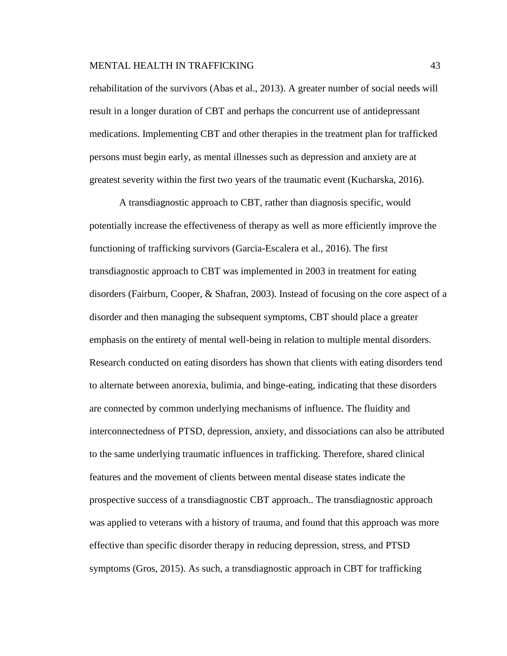rehabilitation of the survivors (Abas et al., 2013). A greater number of social needs will result in a longer duration of CBT and perhaps the concurrent use of antidepressant medications. Implementing CBT and other therapies in the treatment plan for trafficked persons must begin early, as mental illnesses such as depression and anxiety are at greatest severity within the first two years of the traumatic event (Kucharska, 2016).

A transdiagnostic approach to CBT, rather than diagnosis specific, would potentially increase the effectiveness of therapy as well as more efficiently improve the functioning of trafficking survivors (Garcia-Escalera et al., 2016). The first transdiagnostic approach to CBT was implemented in 2003 in treatment for eating disorders (Fairburn, Cooper, & Shafran, 2003). Instead of focusing on the core aspect of a disorder and then managing the subsequent symptoms, CBT should place a greater emphasis on the entirety of mental well-being in relation to multiple mental disorders. Research conducted on eating disorders has shown that clients with eating disorders tend to alternate between anorexia, bulimia, and binge-eating, indicating that these disorders are connected by common underlying mechanisms of influence. The fluidity and interconnectedness of PTSD, depression, anxiety, and dissociations can also be attributed to the same underlying traumatic influences in trafficking. Therefore, shared clinical features and the movement of clients between mental disease states indicate the prospective success of a transdiagnostic CBT approach.. The transdiagnostic approach was applied to veterans with a history of trauma, and found that this approach was more effective than specific disorder therapy in reducing depression, stress, and PTSD symptoms (Gros, 2015). As such, a transdiagnostic approach in CBT for trafficking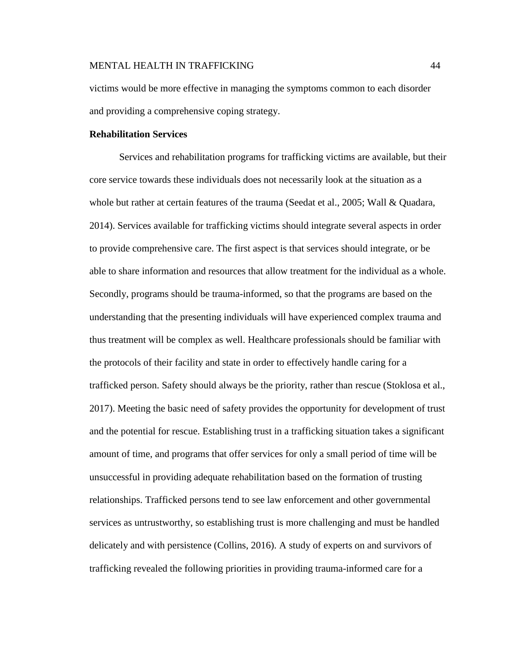victims would be more effective in managing the symptoms common to each disorder and providing a comprehensive coping strategy.

# **Rehabilitation Services**

Services and rehabilitation programs for trafficking victims are available, but their core service towards these individuals does not necessarily look at the situation as a whole but rather at certain features of the trauma (Seedat et al., 2005; Wall & Quadara, 2014). Services available for trafficking victims should integrate several aspects in order to provide comprehensive care. The first aspect is that services should integrate, or be able to share information and resources that allow treatment for the individual as a whole. Secondly, programs should be trauma-informed, so that the programs are based on the understanding that the presenting individuals will have experienced complex trauma and thus treatment will be complex as well. Healthcare professionals should be familiar with the protocols of their facility and state in order to effectively handle caring for a trafficked person. Safety should always be the priority, rather than rescue (Stoklosa et al., 2017). Meeting the basic need of safety provides the opportunity for development of trust and the potential for rescue. Establishing trust in a trafficking situation takes a significant amount of time, and programs that offer services for only a small period of time will be unsuccessful in providing adequate rehabilitation based on the formation of trusting relationships. Trafficked persons tend to see law enforcement and other governmental services as untrustworthy, so establishing trust is more challenging and must be handled delicately and with persistence (Collins, 2016). A study of experts on and survivors of trafficking revealed the following priorities in providing trauma-informed care for a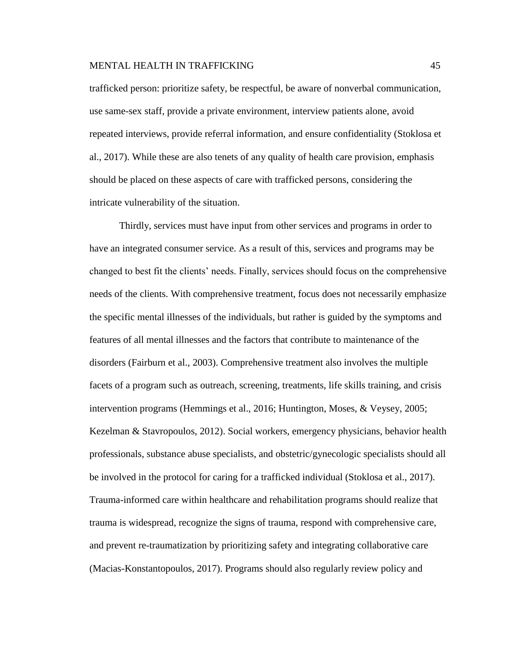trafficked person: prioritize safety, be respectful, be aware of nonverbal communication, use same-sex staff, provide a private environment, interview patients alone, avoid repeated interviews, provide referral information, and ensure confidentiality (Stoklosa et al., 2017). While these are also tenets of any quality of health care provision, emphasis should be placed on these aspects of care with trafficked persons, considering the intricate vulnerability of the situation.

Thirdly, services must have input from other services and programs in order to have an integrated consumer service. As a result of this, services and programs may be changed to best fit the clients' needs. Finally, services should focus on the comprehensive needs of the clients. With comprehensive treatment, focus does not necessarily emphasize the specific mental illnesses of the individuals, but rather is guided by the symptoms and features of all mental illnesses and the factors that contribute to maintenance of the disorders (Fairburn et al., 2003). Comprehensive treatment also involves the multiple facets of a program such as outreach, screening, treatments, life skills training, and crisis intervention programs (Hemmings et al., 2016; Huntington, Moses, & Veysey, 2005; Kezelman & Stavropoulos, 2012). Social workers, emergency physicians, behavior health professionals, substance abuse specialists, and obstetric/gynecologic specialists should all be involved in the protocol for caring for a trafficked individual (Stoklosa et al., 2017). Trauma-informed care within healthcare and rehabilitation programs should realize that trauma is widespread, recognize the signs of trauma, respond with comprehensive care, and prevent re-traumatization by prioritizing safety and integrating collaborative care (Macias-Konstantopoulos, 2017). Programs should also regularly review policy and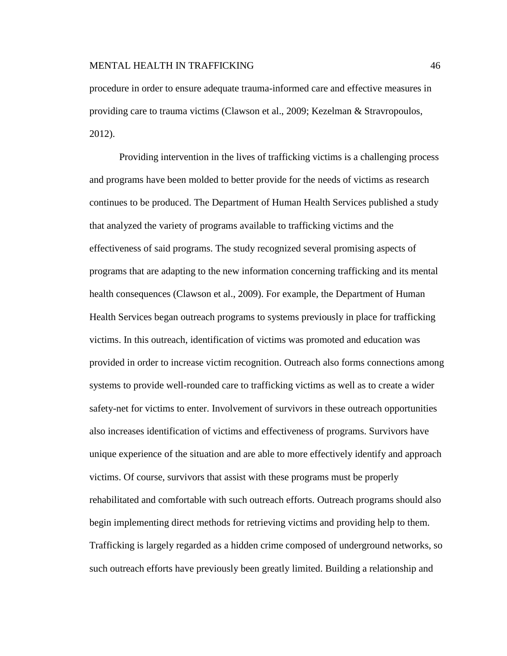procedure in order to ensure adequate trauma-informed care and effective measures in providing care to trauma victims (Clawson et al., 2009; Kezelman & Stravropoulos, 2012).

Providing intervention in the lives of trafficking victims is a challenging process and programs have been molded to better provide for the needs of victims as research continues to be produced. The Department of Human Health Services published a study that analyzed the variety of programs available to trafficking victims and the effectiveness of said programs. The study recognized several promising aspects of programs that are adapting to the new information concerning trafficking and its mental health consequences (Clawson et al., 2009). For example, the Department of Human Health Services began outreach programs to systems previously in place for trafficking victims. In this outreach, identification of victims was promoted and education was provided in order to increase victim recognition. Outreach also forms connections among systems to provide well-rounded care to trafficking victims as well as to create a wider safety-net for victims to enter. Involvement of survivors in these outreach opportunities also increases identification of victims and effectiveness of programs. Survivors have unique experience of the situation and are able to more effectively identify and approach victims. Of course, survivors that assist with these programs must be properly rehabilitated and comfortable with such outreach efforts. Outreach programs should also begin implementing direct methods for retrieving victims and providing help to them. Trafficking is largely regarded as a hidden crime composed of underground networks, so such outreach efforts have previously been greatly limited. Building a relationship and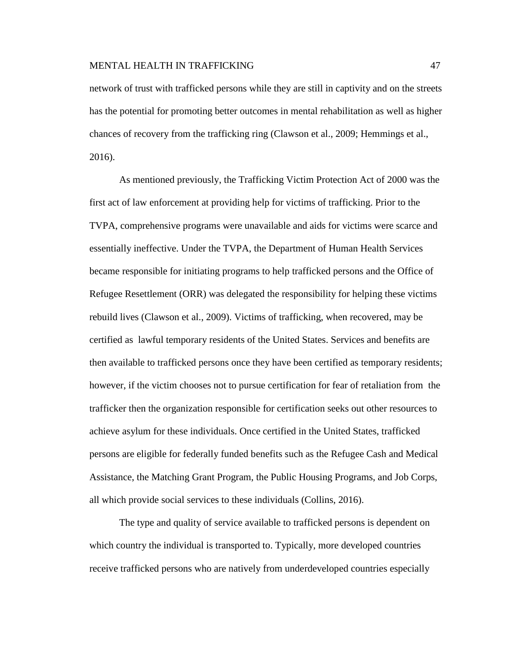network of trust with trafficked persons while they are still in captivity and on the streets has the potential for promoting better outcomes in mental rehabilitation as well as higher chances of recovery from the trafficking ring (Clawson et al., 2009; Hemmings et al., 2016).

As mentioned previously, the Trafficking Victim Protection Act of 2000 was the first act of law enforcement at providing help for victims of trafficking. Prior to the TVPA, comprehensive programs were unavailable and aids for victims were scarce and essentially ineffective. Under the TVPA, the Department of Human Health Services became responsible for initiating programs to help trafficked persons and the Office of Refugee Resettlement (ORR) was delegated the responsibility for helping these victims rebuild lives (Clawson et al., 2009). Victims of trafficking, when recovered, may be certified as lawful temporary residents of the United States. Services and benefits are then available to trafficked persons once they have been certified as temporary residents; however, if the victim chooses not to pursue certification for fear of retaliation from the trafficker then the organization responsible for certification seeks out other resources to achieve asylum for these individuals. Once certified in the United States, trafficked persons are eligible for federally funded benefits such as the Refugee Cash and Medical Assistance, the Matching Grant Program, the Public Housing Programs, and Job Corps, all which provide social services to these individuals (Collins, 2016).

The type and quality of service available to trafficked persons is dependent on which country the individual is transported to. Typically, more developed countries receive trafficked persons who are natively from underdeveloped countries especially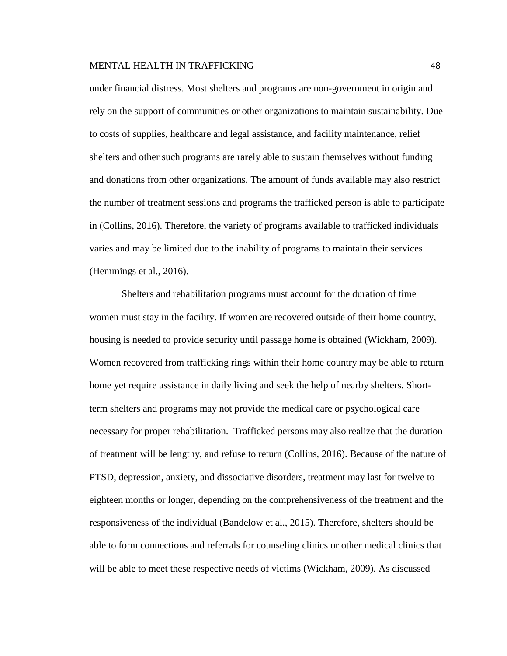under financial distress. Most shelters and programs are non-government in origin and rely on the support of communities or other organizations to maintain sustainability. Due to costs of supplies, healthcare and legal assistance, and facility maintenance, relief shelters and other such programs are rarely able to sustain themselves without funding and donations from other organizations. The amount of funds available may also restrict the number of treatment sessions and programs the trafficked person is able to participate in (Collins, 2016). Therefore, the variety of programs available to trafficked individuals varies and may be limited due to the inability of programs to maintain their services (Hemmings et al., 2016).

Shelters and rehabilitation programs must account for the duration of time women must stay in the facility. If women are recovered outside of their home country, housing is needed to provide security until passage home is obtained (Wickham, 2009). Women recovered from trafficking rings within their home country may be able to return home yet require assistance in daily living and seek the help of nearby shelters. Shortterm shelters and programs may not provide the medical care or psychological care necessary for proper rehabilitation. Trafficked persons may also realize that the duration of treatment will be lengthy, and refuse to return (Collins, 2016). Because of the nature of PTSD, depression, anxiety, and dissociative disorders, treatment may last for twelve to eighteen months or longer, depending on the comprehensiveness of the treatment and the responsiveness of the individual (Bandelow et al., 2015). Therefore, shelters should be able to form connections and referrals for counseling clinics or other medical clinics that will be able to meet these respective needs of victims (Wickham, 2009). As discussed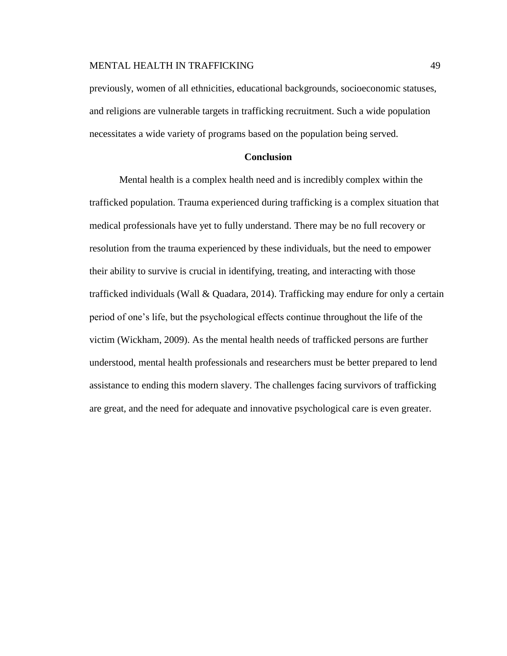previously, women of all ethnicities, educational backgrounds, socioeconomic statuses, and religions are vulnerable targets in trafficking recruitment. Such a wide population necessitates a wide variety of programs based on the population being served.

# **Conclusion**

Mental health is a complex health need and is incredibly complex within the trafficked population. Trauma experienced during trafficking is a complex situation that medical professionals have yet to fully understand. There may be no full recovery or resolution from the trauma experienced by these individuals, but the need to empower their ability to survive is crucial in identifying, treating, and interacting with those trafficked individuals (Wall  $\&$  Quadara, 2014). Trafficking may endure for only a certain period of one's life, but the psychological effects continue throughout the life of the victim (Wickham, 2009). As the mental health needs of trafficked persons are further understood, mental health professionals and researchers must be better prepared to lend assistance to ending this modern slavery. The challenges facing survivors of trafficking are great, and the need for adequate and innovative psychological care is even greater.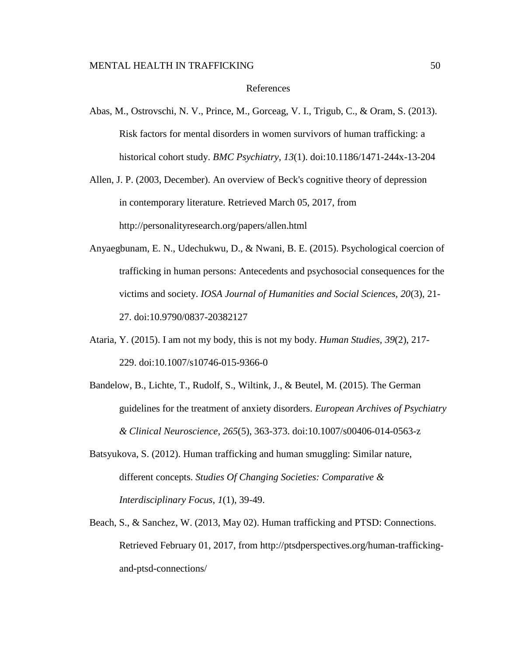# References

Abas, M., Ostrovschi, N. V., Prince, M., Gorceag, V. I., Trigub, C., & Oram, S. (2013). Risk factors for mental disorders in women survivors of human trafficking: a historical cohort study. *BMC Psychiatry, 13*(1). doi:10.1186/1471-244x-13-204

Allen, J. P. (2003, December). An overview of Beck's cognitive theory of depression in contemporary literature. Retrieved March 05, 2017, from http://personalityresearch.org/papers/allen.html

- Anyaegbunam, E. N., Udechukwu, D., & Nwani, B. E. (2015). Psychological coercion of trafficking in human persons: Antecedents and psychosocial consequences for the victims and society. *IOSA Journal of Humanities and Social Sciences, 20*(3), 21- 27. doi:10.9790/0837-20382127
- Ataria, Y. (2015). I am not my body, this is not my body. *Human Studies, 39*(2), 217- 229. doi:10.1007/s10746-015-9366-0
- Bandelow, B., Lichte, T., Rudolf, S., Wiltink, J., & Beutel, M. (2015). The German guidelines for the treatment of anxiety disorders. *European Archives of Psychiatry & Clinical Neuroscience*, *265*(5), 363-373. doi:10.1007/s00406-014-0563-z
- Batsyukova, S. (2012). Human trafficking and human smuggling: Similar nature, different concepts. *Studies Of Changing Societies: Comparative & Interdisciplinary Focus*, *1*(1), 39-49.
- Beach, S., & Sanchez, W. (2013, May 02). Human trafficking and PTSD: Connections. Retrieved February 01, 2017, from http://ptsdperspectives.org/human-traffickingand-ptsd-connections/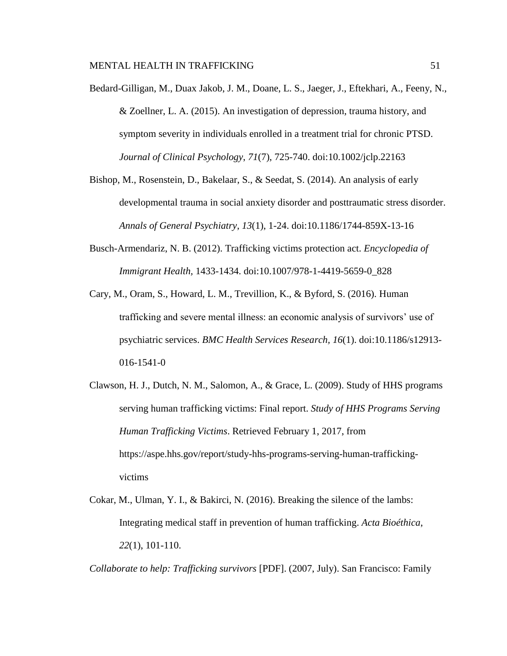- Bedard-Gilligan, M., Duax Jakob, J. M., Doane, L. S., Jaeger, J., Eftekhari, A., Feeny, N., & Zoellner, L. A. (2015). An investigation of depression, trauma history, and symptom severity in individuals enrolled in a treatment trial for chronic PTSD. *Journal of Clinical Psychology*, *71*(7), 725-740. doi:10.1002/jclp.22163
- Bishop, M., Rosenstein, D., Bakelaar, S., & Seedat, S. (2014). An analysis of early developmental trauma in social anxiety disorder and posttraumatic stress disorder. *Annals of General Psychiatry*, *13*(1), 1-24. doi:10.1186/1744-859X-13-16
- Busch-Armendariz, N. B. (2012). Trafficking victims protection act. *Encyclopedia of Immigrant Health,* 1433-1434. doi:10.1007/978-1-4419-5659-0\_828
- Cary, M., Oram, S., Howard, L. M., Trevillion, K., & Byford, S. (2016). Human trafficking and severe mental illness: an economic analysis of survivors' use of psychiatric services. *BMC Health Services Research, 16*(1). doi:10.1186/s12913- 016-1541-0
- Clawson, H. J., Dutch, N. M., Salomon, A., & Grace, L. (2009). Study of HHS programs serving human trafficking victims: Final report. *Study of HHS Programs Serving Human Trafficking Victims*. Retrieved February 1, 2017, from https://aspe.hhs.gov/report/study-hhs-programs-serving-human-traffickingvictims
- Cokar, M., Ulman, Y. I., & Bakirci, N. (2016). Breaking the silence of the lambs: Integrating medical staff in prevention of human trafficking. *Acta Bioéthica*, *22*(1), 101-110.

*Collaborate to help: Trafficking survivors* [PDF]. (2007, July). San Francisco: Family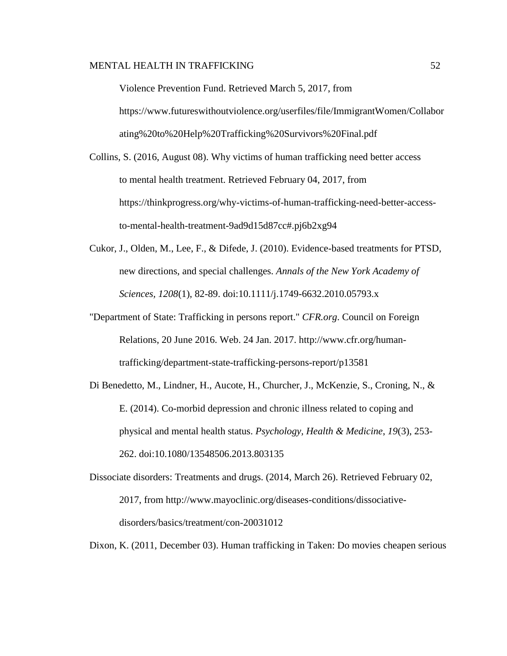Violence Prevention Fund. Retrieved March 5, 2017, from https://www.futureswithoutviolence.org/userfiles/file/ImmigrantWomen/Collabor ating%20to%20Help%20Trafficking%20Survivors%20Final.pdf

- Collins, S. (2016, August 08). Why victims of human trafficking need better access to mental health treatment. Retrieved February 04, 2017, from https://thinkprogress.org/why-victims-of-human-trafficking-need-better-accessto-mental-health-treatment-9ad9d15d87cc#.pj6b2xg94
- Cukor, J., Olden, M., Lee, F., & Difede, J. (2010). Evidence-based treatments for PTSD, new directions, and special challenges. *Annals of the New York Academy of Sciences, 1208*(1), 82-89. doi:10.1111/j.1749-6632.2010.05793.x
- "Department of State: Trafficking in persons report." *CFR.org*. Council on Foreign Relations, 20 June 2016. Web. 24 Jan. 2017. http://www.cfr.org/humantrafficking/department-state-trafficking-persons-report/p13581
- Di Benedetto, M., Lindner, H., Aucote, H., Churcher, J., McKenzie, S., Croning, N., & E. (2014). Co-morbid depression and chronic illness related to coping and physical and mental health status. *Psychology, Health & Medicine*, *19*(3), 253- 262. doi:10.1080/13548506.2013.803135
- Dissociate disorders: Treatments and drugs. (2014, March 26). Retrieved February 02, 2017, from http://www.mayoclinic.org/diseases-conditions/dissociativedisorders/basics/treatment/con-20031012

Dixon, K. (2011, December 03). Human trafficking in Taken: Do movies cheapen serious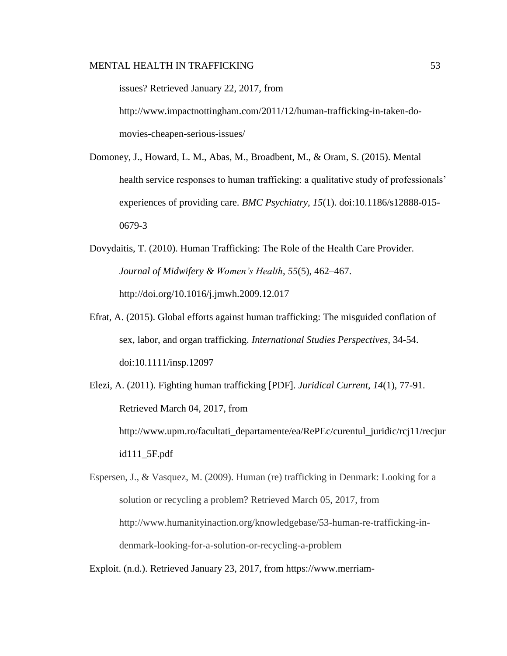issues? Retrieved January 22, 2017, from http://www.impactnottingham.com/2011/12/human-trafficking-in-taken-domovies-cheapen-serious-issues/

- Domoney, J., Howard, L. M., Abas, M., Broadbent, M., & Oram, S. (2015). Mental health service responses to human trafficking: a qualitative study of professionals' experiences of providing care. *BMC Psychiatry, 15*(1). doi:10.1186/s12888-015- 0679-3
- Dovydaitis, T. (2010). Human Trafficking: The Role of the Health Care Provider. *Journal of Midwifery & Women's Health*, *55*(5), 462–467. http://doi.org/10.1016/j.jmwh.2009.12.017
- Efrat, A. (2015). Global efforts against human trafficking: The misguided conflation of sex, labor, and organ trafficking. *International Studies Perspectives,* 34-54. doi:10.1111/insp.12097
- Elezi, A. (2011). Fighting human trafficking [PDF]. *Juridical Current*, *14*(1), 77-91. Retrieved March 04, 2017, from http://www.upm.ro/facultati\_departamente/ea/RePEc/curentul\_juridic/rcj11/recjur id111\_5F.pdf
- Espersen, J., & Vasquez, M. (2009). Human (re) trafficking in Denmark: Looking for a solution or recycling a problem? Retrieved March 05, 2017, from http://www.humanityinaction.org/knowledgebase/53-human-re-trafficking-indenmark-looking-for-a-solution-or-recycling-a-problem

Exploit. (n.d.). Retrieved January 23, 2017, from https://www.merriam-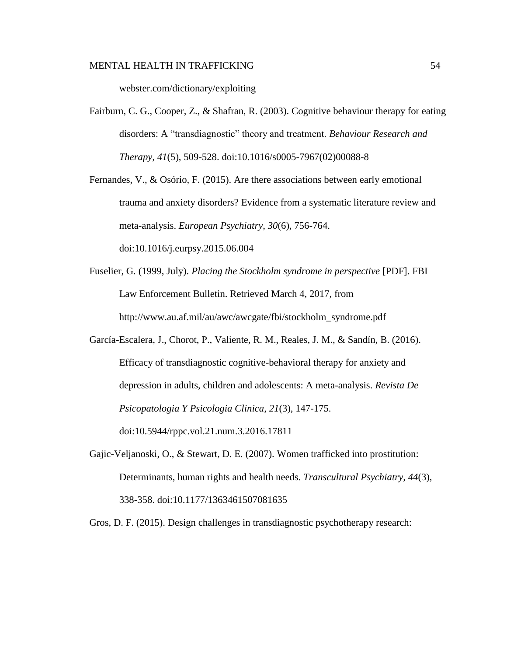# MENTAL HEALTH IN TRAFFICKING **FOUR 1999** S4

webster.com/dictionary/exploiting

Fairburn, C. G., Cooper, Z., & Shafran, R. (2003). Cognitive behaviour therapy for eating disorders: A "transdiagnostic" theory and treatment. *Behaviour Research and Therapy, 41*(5), 509-528. doi:10.1016/s0005-7967(02)00088-8

Fernandes, V., & Osório, F. (2015). Are there associations between early emotional trauma and anxiety disorders? Evidence from a systematic literature review and meta-analysis. *European Psychiatry*, *30*(6), 756-764. doi:10.1016/j.eurpsy.2015.06.004

- Fuselier, G. (1999, July). *Placing the Stockholm syndrome in perspective* [PDF]. FBI Law Enforcement Bulletin. Retrieved March 4, 2017, from http://www.au.af.mil/au/awc/awcgate/fbi/stockholm\_syndrome.pdf
- García-Escalera, J., Chorot, P., Valiente, R. M., Reales, J. M., & Sandín, B. (2016). Efficacy of transdiagnostic cognitive-behavioral therapy for anxiety and depression in adults, children and adolescents: A meta-analysis. *Revista De Psicopatologia Y Psicologia Clinica*, *21*(3), 147-175. doi:10.5944/rppc.vol.21.num.3.2016.17811
- Gajic-Veljanoski, O., & Stewart, D. E. (2007). Women trafficked into prostitution: Determinants, human rights and health needs. *Transcultural Psychiatry, 44*(3), 338-358. doi:10.1177/1363461507081635

Gros, D. F. (2015). Design challenges in transdiagnostic psychotherapy research: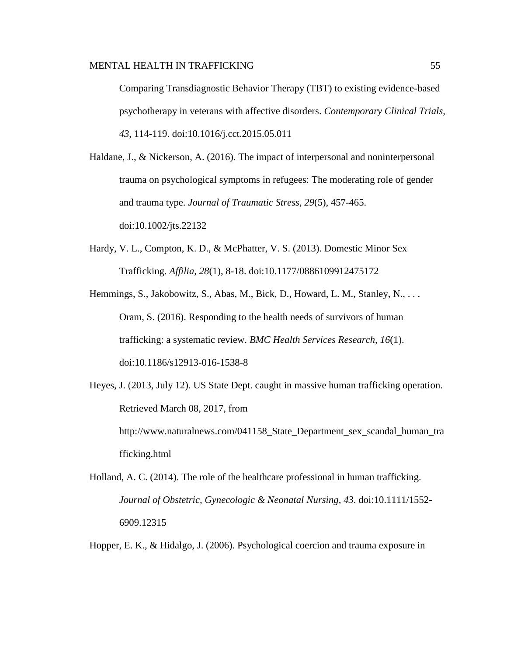Comparing Transdiagnostic Behavior Therapy (TBT) to existing evidence-based psychotherapy in veterans with affective disorders. *Contemporary Clinical Trials, 43*, 114-119. doi:10.1016/j.cct.2015.05.011

Haldane, J., & Nickerson, A. (2016). The impact of interpersonal and noninterpersonal trauma on psychological symptoms in refugees: The moderating role of gender and trauma type. *Journal of Traumatic Stress, 29*(5), 457-465. doi:10.1002/jts.22132

Hardy, V. L., Compton, K. D., & McPhatter, V. S. (2013). Domestic Minor Sex Trafficking. *Affilia, 28*(1), 8-18. doi:10.1177/0886109912475172

Hemmings, S., Jakobowitz, S., Abas, M., Bick, D., Howard, L. M., Stanley, N., ... Oram, S. (2016). Responding to the health needs of survivors of human trafficking: a systematic review. *BMC Health Services Research, 16*(1). doi:10.1186/s12913-016-1538-8

Heyes, J. (2013, July 12). US State Dept. caught in massive human trafficking operation. Retrieved March 08, 2017, from http://www.naturalnews.com/041158\_State\_Department\_sex\_scandal\_human\_tra fficking.html

Holland, A. C. (2014). The role of the healthcare professional in human trafficking. *Journal of Obstetric, Gynecologic & Neonatal Nursing, 43*. doi:10.1111/1552- 6909.12315

Hopper, E. K., & Hidalgo, J. (2006). Psychological coercion and trauma exposure in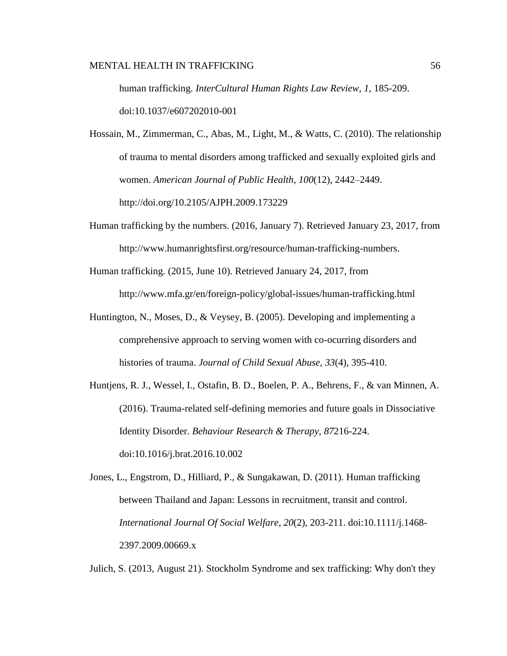human trafficking. *InterCultural Human Rights Law Review, 1*, 185-209. doi:10.1037/e607202010-001

Hossain, M., Zimmerman, C., Abas, M., Light, M., & Watts, C. (2010). The relationship of trauma to mental disorders among trafficked and sexually exploited girls and women. *American Journal of Public Health*, *100*(12), 2442–2449. http://doi.org/10.2105/AJPH.2009.173229

- Human trafficking by the numbers. (2016, January 7). Retrieved January 23, 2017, from http://www.humanrightsfirst.org/resource/human-trafficking-numbers.
- Human trafficking. (2015, June 10). Retrieved January 24, 2017, from http://www.mfa.gr/en/foreign-policy/global-issues/human-trafficking.html
- Huntington, N., Moses, D., & Veysey, B. (2005). Developing and implementing a comprehensive approach to serving women with co-ocurring disorders and histories of trauma. *Journal of Child Sexual Abuse*, *33*(4), 395-410.
- Huntjens, R. J., Wessel, I., Ostafin, B. D., Boelen, P. A., Behrens, F., & van Minnen, A. (2016). Trauma-related self-defining memories and future goals in Dissociative Identity Disorder. *Behaviour Research & Therapy*, *87*216-224. doi:10.1016/j.brat.2016.10.002

Jones, L., Engstrom, D., Hilliard, P., & Sungakawan, D. (2011). Human trafficking between Thailand and Japan: Lessons in recruitment, transit and control. *International Journal Of Social Welfare*, *20*(2), 203-211. doi:10.1111/j.1468- 2397.2009.00669.x

Julich, S. (2013, August 21). Stockholm Syndrome and sex trafficking: Why don't they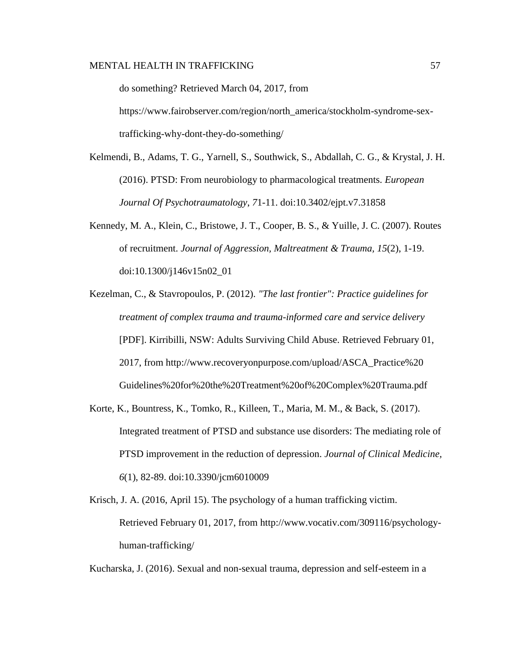do something? Retrieved March 04, 2017, from https://www.fairobserver.com/region/north\_america/stockholm-syndrome-sextrafficking-why-dont-they-do-something/

- Kelmendi, B., Adams, T. G., Yarnell, S., Southwick, S., Abdallah, C. G., & Krystal, J. H. (2016). PTSD: From neurobiology to pharmacological treatments. *European Journal Of Psychotraumatology*, *7*1-11. doi:10.3402/ejpt.v7.31858
- Kennedy, M. A., Klein, C., Bristowe, J. T., Cooper, B. S., & Yuille, J. C. (2007). Routes of recruitment. *Journal of Aggression, Maltreatment & Trauma, 15*(2), 1-19. doi:10.1300/j146v15n02\_01
- Kezelman, C., & Stavropoulos, P. (2012). *"The last frontier": Practice guidelines for treatment of complex trauma and trauma-informed care and service delivery* [PDF]. Kirribilli, NSW: Adults Surviving Child Abuse. Retrieved February 01, 2017, from http://www.recoveryonpurpose.com/upload/ASCA\_Practice%20 Guidelines%20for%20the%20Treatment%20of%20Complex%20Trauma.pdf
- Korte, K., Bountress, K., Tomko, R., Killeen, T., Maria, M. M., & Back, S. (2017). Integrated treatment of PTSD and substance use disorders: The mediating role of PTSD improvement in the reduction of depression. *Journal of Clinical Medicine, 6*(1), 82-89. doi:10.3390/jcm6010009
- Krisch, J. A. (2016, April 15). The psychology of a human trafficking victim. Retrieved February 01, 2017, from http://www.vocativ.com/309116/psychologyhuman-trafficking/

Kucharska, J. (2016). Sexual and non-sexual trauma, depression and self-esteem in a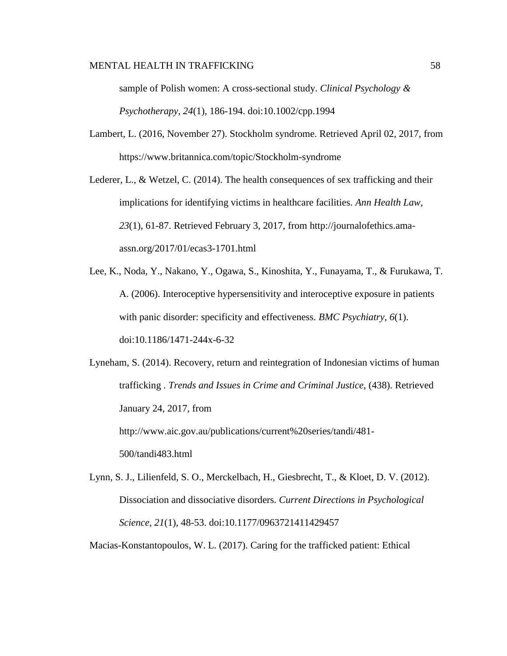sample of Polish women: A cross-sectional study. *Clinical Psychology & Psychotherapy*, *24*(1), 186-194. doi:10.1002/cpp.1994

Lambert, L. (2016, November 27). Stockholm syndrome. Retrieved April 02, 2017, from https://www.britannica.com/topic/Stockholm-syndrome

Lederer, L., & Wetzel, C. (2014). The health consequences of sex trafficking and their implications for identifying victims in healthcare facilities. *Ann Health Law, 23*(1), 61-87. Retrieved February 3, 2017, from http://journalofethics.amaassn.org/2017/01/ecas3-1701.html

Lee, K., Noda, Y., Nakano, Y., Ogawa, S., Kinoshita, Y., Funayama, T., & Furukawa, T. A. (2006). Interoceptive hypersensitivity and interoceptive exposure in patients with panic disorder: specificity and effectiveness. *BMC Psychiatry, 6*(1). doi:10.1186/1471-244x-6-32

Lyneham, S. (2014). Recovery, return and reintegration of Indonesian victims of human trafficking . *Trends and Issues in Crime and Criminal Justice,* (438). Retrieved January 24, 2017, from http://www.aic.gov.au/publications/current%20series/tandi/481- 500/tandi483.html

Lynn, S. J., Lilienfeld, S. O., Merckelbach, H., Giesbrecht, T., & Kloet, D. V. (2012). Dissociation and dissociative disorders. *Current Directions in Psychological Science, 21*(1), 48-53. doi:10.1177/0963721411429457

Macias-Konstantopoulos, W. L. (2017). Caring for the trafficked patient: Ethical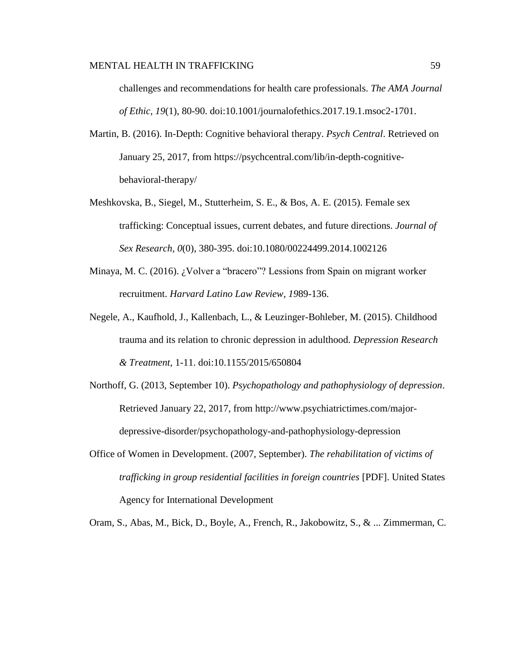challenges and recommendations for health care professionals. *The AMA Journal of Ethic, 19*(1), 80-90. doi:10.1001/journalofethics.2017.19.1.msoc2-1701.

- Martin, B. (2016). In-Depth: Cognitive behavioral therapy. *Psych Central*. Retrieved on January 25, 2017, from https://psychcentral.com/lib/in-depth-cognitivebehavioral-therapy/
- Meshkovska, B., Siegel, M., Stutterheim, S. E., & Bos, A. E. (2015). Female sex trafficking: Conceptual issues, current debates, and future directions. *Journal of Sex Research, 0*(0), 380-395. doi:10.1080/00224499.2014.1002126
- Minaya, M. C. (2016). ¿Volver a "bracero"? Lessions from Spain on migrant worker recruitment. *Harvard Latino Law Review*, *19*89-136.
- Negele, A., Kaufhold, J., Kallenbach, L., & Leuzinger-Bohleber, M. (2015). Childhood trauma and its relation to chronic depression in adulthood. *Depression Research & Treatment*, 1-11. doi:10.1155/2015/650804
- Northoff, G. (2013, September 10). *Psychopathology and pathophysiology of depression*. Retrieved January 22, 2017, from http://www.psychiatrictimes.com/majordepressive-disorder/psychopathology-and-pathophysiology-depression
- Office of Women in Development. (2007, September). *The rehabilitation of victims of trafficking in group residential facilities in foreign countries* [PDF]. United States Agency for International Development

Oram, S., Abas, M., Bick, D., Boyle, A., French, R., Jakobowitz, S., & ... Zimmerman, C.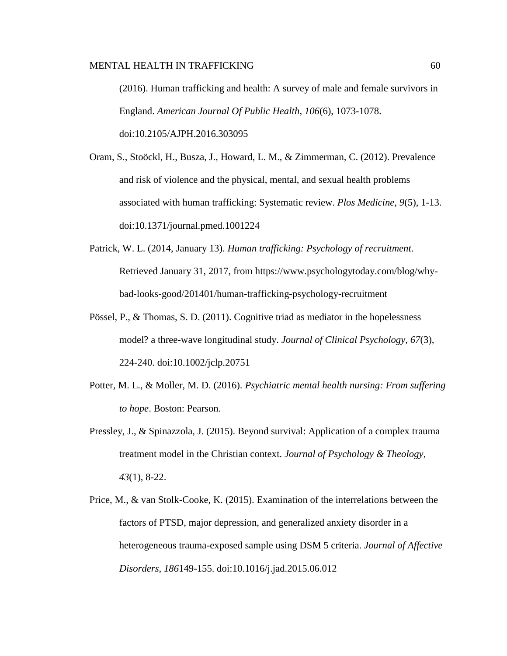(2016). Human trafficking and health: A survey of male and female survivors in England. *American Journal Of Public Health*, *106*(6), 1073-1078. doi:10.2105/AJPH.2016.303095

- Oram, S., Stoöckl, H., Busza, J., Howard, L. M., & Zimmerman, C. (2012). Prevalence and risk of violence and the physical, mental, and sexual health problems associated with human trafficking: Systematic review. *Plos Medicine*, *9*(5), 1-13. doi:10.1371/journal.pmed.1001224
- Patrick, W. L. (2014, January 13). *Human trafficking: Psychology of recruitment*. Retrieved January 31, 2017, from https://www.psychologytoday.com/blog/whybad-looks-good/201401/human-trafficking-psychology-recruitment
- Pössel, P., & Thomas, S. D. (2011). Cognitive triad as mediator in the hopelessness model? a three-wave longitudinal study. *Journal of Clinical Psychology*, *67*(3), 224-240. doi:10.1002/jclp.20751
- Potter, M. L., & Moller, M. D. (2016). *Psychiatric mental health nursing: From suffering to hope*. Boston: Pearson.
- Pressley, J., & Spinazzola, J. (2015). Beyond survival: Application of a complex trauma treatment model in the Christian context. *Journal of Psychology & Theology*, *43*(1), 8-22.
- Price, M., & van Stolk-Cooke, K. (2015). Examination of the interrelations between the factors of PTSD, major depression, and generalized anxiety disorder in a heterogeneous trauma-exposed sample using DSM 5 criteria. *Journal of Affective Disorders*, *186*149-155. doi:10.1016/j.jad.2015.06.012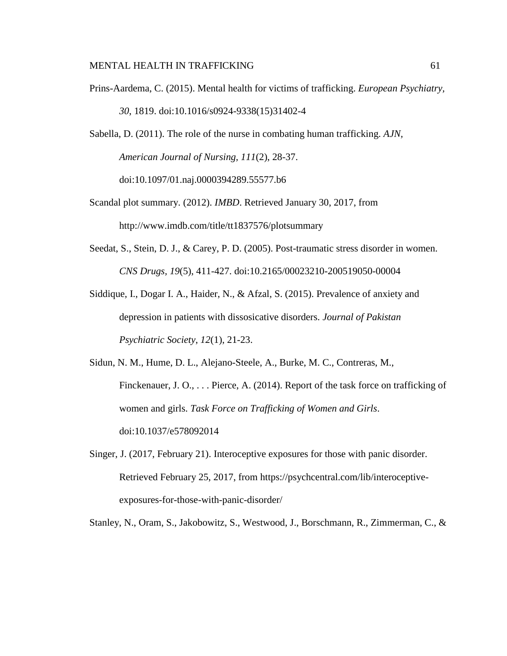Prins-Aardema, C. (2015). Mental health for victims of trafficking. *European Psychiatry, 30*, 1819. doi:10.1016/s0924-9338(15)31402-4

Sabella, D. (2011). The role of the nurse in combating human trafficking. *AJN, American Journal of Nursing, 111*(2), 28-37. doi:10.1097/01.naj.0000394289.55577.b6

- Scandal plot summary. (2012). *IMBD*. Retrieved January 30, 2017, from http://www.imdb.com/title/tt1837576/plotsummary
- Seedat, S., Stein, D. J., & Carey, P. D. (2005). Post-traumatic stress disorder in women. *CNS Drugs, 19*(5), 411-427. doi:10.2165/00023210-200519050-00004
- Siddique, I., Dogar I. A., Haider, N., & Afzal, S. (2015). Prevalence of anxiety and depression in patients with dissosicative disorders. *Journal of Pakistan Psychiatric Society*, *12*(1), 21-23.
- Sidun, N. M., Hume, D. L., Alejano-Steele, A., Burke, M. C., Contreras, M., Finckenauer, J. O., . . . Pierce, A. (2014). Report of the task force on trafficking of women and girls. *Task Force on Trafficking of Women and Girls*. doi:10.1037/e578092014
- Singer, J. (2017, February 21). Interoceptive exposures for those with panic disorder. Retrieved February 25, 2017, from https://psychcentral.com/lib/interoceptiveexposures-for-those-with-panic-disorder/

Stanley, N., Oram, S., Jakobowitz, S., Westwood, J., Borschmann, R., Zimmerman, C., &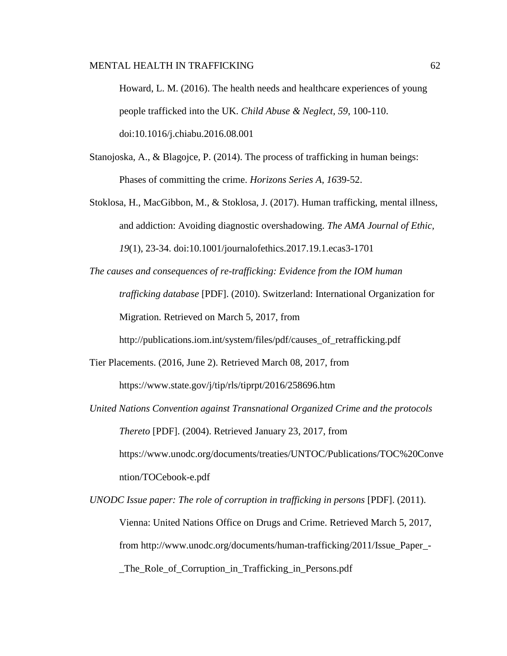Howard, L. M. (2016). The health needs and healthcare experiences of young people trafficked into the UK. *Child Abuse & Neglect, 59*, 100-110. doi:10.1016/j.chiabu.2016.08.001

- Stanojoska, A., & Blagojce, P. (2014). The process of trafficking in human beings: Phases of committing the crime. *Horizons Series A*, *16*39-52.
- Stoklosa, H., MacGibbon, M., & Stoklosa, J. (2017). Human trafficking, mental illness, and addiction: Avoiding diagnostic overshadowing. *The AMA Journal of Ethic, 19*(1), 23-34. doi:10.1001/journalofethics.2017.19.1.ecas3-1701
- *The causes and consequences of re-trafficking: Evidence from the IOM human trafficking database* [PDF]. (2010). Switzerland: International Organization for Migration. Retrieved on March 5, 2017, from

http://publications.iom.int/system/files/pdf/causes\_of\_retrafficking.pdf

- Tier Placements. (2016, June 2). Retrieved March 08, 2017, from https://www.state.gov/j/tip/rls/tiprpt/2016/258696.htm
- *United Nations Convention against Transnational Organized Crime and the protocols Thereto* [PDF]. (2004). Retrieved January 23, 2017, from https://www.unodc.org/documents/treaties/UNTOC/Publications/TOC%20Conve ntion/TOCebook-e.pdf
- *UNODC Issue paper: The role of corruption in trafficking in persons* [PDF]. (2011). Vienna: United Nations Office on Drugs and Crime. Retrieved March 5, 2017, from http://www.unodc.org/documents/human-trafficking/2011/Issue\_Paper\_- \_The\_Role\_of\_Corruption\_in\_Trafficking\_in\_Persons.pdf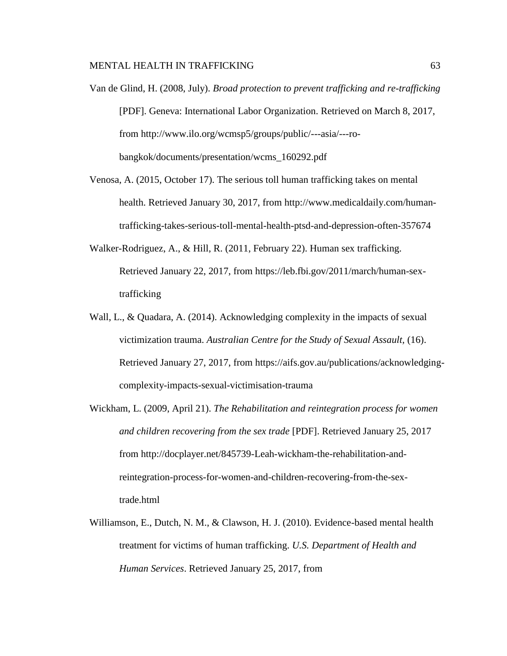- Van de Glind, H. (2008, July). *Broad protection to prevent trafficking and re-trafficking* [PDF]. Geneva: International Labor Organization. Retrieved on March 8, 2017, from http://www.ilo.org/wcmsp5/groups/public/---asia/---robangkok/documents/presentation/wcms\_160292.pdf
- Venosa, A. (2015, October 17). The serious toll human trafficking takes on mental health. Retrieved January 30, 2017, from http://www.medicaldaily.com/humantrafficking-takes-serious-toll-mental-health-ptsd-and-depression-often-357674
- Walker-Rodriguez, A., & Hill, R. (2011, February 22). Human sex trafficking. Retrieved January 22, 2017, from https://leb.fbi.gov/2011/march/human-sextrafficking
- Wall, L., & Quadara, A. (2014). Acknowledging complexity in the impacts of sexual victimization trauma. *Australian Centre for the Study of Sexual Assault,* (16). Retrieved January 27, 2017, from https://aifs.gov.au/publications/acknowledgingcomplexity-impacts-sexual-victimisation-trauma
- Wickham, L. (2009, April 21). *The Rehabilitation and reintegration process for women and children recovering from the sex trade* [PDF]. Retrieved January 25, 2017 from http://docplayer.net/845739-Leah-wickham-the-rehabilitation-andreintegration-process-for-women-and-children-recovering-from-the-sextrade.html
- Williamson, E., Dutch, N. M., & Clawson, H. J. (2010). Evidence-based mental health treatment for victims of human trafficking. *U.S. Department of Health and Human Services*. Retrieved January 25, 2017, from